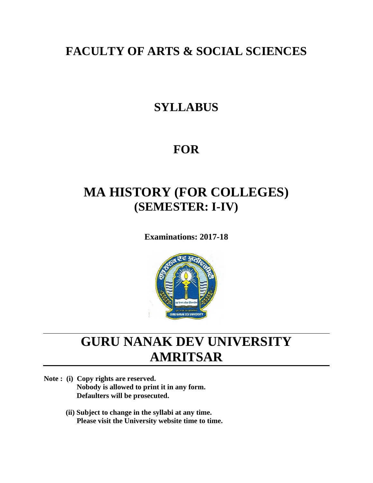# **FACULTY OF ARTS & SOCIAL SCIENCES**

# **SYLLABUS**

# **FOR**

# **MA HISTORY (FOR COLLEGES) (SEMESTER: I-IV)**

**Examinations: 2017-18**



# **GURU NANAK DEV UNIVERSITY AMRITSAR**

**Note : (i) Copy rights are reserved. Nobody is allowed to print it in any form. Defaulters will be prosecuted.**

> **(ii) Subject to change in the syllabi at any time. Please visit the University website time to time.**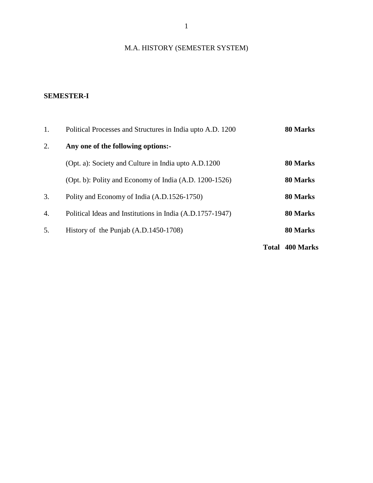## M.A. HISTORY (SEMESTER SYSTEM)

### **SEMESTER-I**

| 1. | Political Processes and Structures in India upto A.D. 1200 |                        | 80 Marks |
|----|------------------------------------------------------------|------------------------|----------|
| 2. | Any one of the following options:-                         |                        |          |
|    | (Opt. a): Society and Culture in India upto A.D.1200       |                        | 80 Marks |
|    | (Opt. b): Polity and Economy of India (A.D. 1200-1526)     |                        | 80 Marks |
| 3. | Polity and Economy of India (A.D.1526-1750)                |                        | 80 Marks |
| 4. | Political Ideas and Institutions in India (A.D.1757-1947)  |                        | 80 Marks |
| 5. | History of the Punjab (A.D.1450-1708)                      |                        | 80 Marks |
|    |                                                            | <b>Total 400 Marks</b> |          |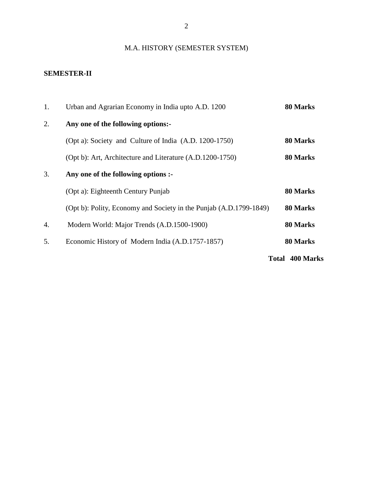## M.A. HISTORY (SEMESTER SYSTEM)

### **SEMESTER-II**

| 1.                     | Urban and Agrarian Economy in India upto A.D. 1200                 | 80 Marks |
|------------------------|--------------------------------------------------------------------|----------|
| 2.                     | Any one of the following options:-                                 |          |
|                        | (Opt a): Society and Culture of India (A.D. 1200-1750)             | 80 Marks |
|                        | (Opt b): Art, Architecture and Literature (A.D.1200-1750)          | 80 Marks |
| 3.                     | Any one of the following options :-                                |          |
|                        | (Opt a): Eighteenth Century Punjab                                 | 80 Marks |
|                        | (Opt b): Polity, Economy and Society in the Punjab (A.D.1799-1849) | 80 Marks |
| 4.                     | Modern World: Major Trends (A.D.1500-1900)                         | 80 Marks |
| 5.                     | Economic History of Modern India (A.D.1757-1857)                   | 80 Marks |
| <b>Total 400 Marks</b> |                                                                    |          |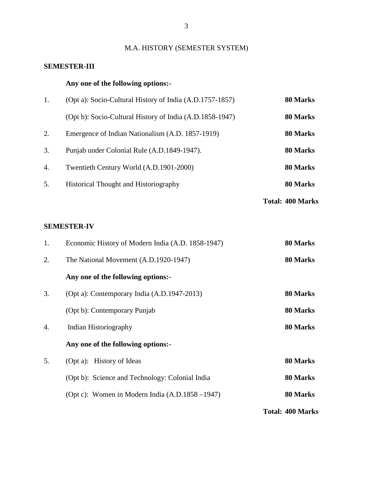## M.A. HISTORY (SEMESTER SYSTEM)

### **SEMESTER-III**

### **Any one of the following options:-**

| 1. | (Opt a): Socio-Cultural History of India (A.D.1757-1857) | 80 Marks |
|----|----------------------------------------------------------|----------|
|    | (Opt b): Socio-Cultural History of India (A.D.1858-1947) | 80 Marks |
| 2. | Emergence of Indian Nationalism (A.D. 1857-1919)         | 80 Marks |
| 3. | Punjab under Colonial Rule (A.D.1849-1947).              | 80 Marks |
| 4. | Twentieth Century World (A.D.1901-2000)                  | 80 Marks |
| 5. | <b>Historical Thought and Historiography</b>             | 80 Marks |
|    |                                                          |          |

**Total: 400 Marks**

### **SEMESTER-IV**

| 1. | Economic History of Modern India (A.D. 1858-1947)  | 80 Marks                |
|----|----------------------------------------------------|-------------------------|
| 2. | The National Movement (A.D.1920-1947)              | 80 Marks                |
|    | Any one of the following options:-                 |                         |
| 3. | (Opt a): Contemporary India (A.D.1947-2013)        | 80 Marks                |
|    | (Opt b): Contemporary Punjab                       | 80 Marks                |
| 4. | Indian Historiography                              | 80 Marks                |
|    | Any one of the following options:-                 |                         |
| 5. | (Opt a): History of Ideas                          | 80 Marks                |
|    | (Opt b): Science and Technology: Colonial India    | 80 Marks                |
|    | (Opt c): Women in Modern India $(A.D.1858 - 1947)$ | 80 Marks                |
|    |                                                    | <b>Total: 400 Marks</b> |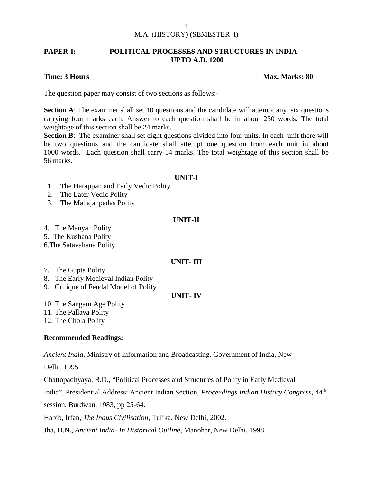### **PAPER-I: POLITICAL PROCESSES AND STRUCTURES IN INDIA UPTO A.D. 1200**

### **Time: 3 Hours Max. Marks: 80**

The question paper may consist of two sections as follows:-

**Section A:** The examiner shall set 10 questions and the candidate will attempt any six questions carrying four marks each. Answer to each question shall be in about 250 words. The total weightage of this section shall be 24 marks.

**Section B**: The examiner shall set eight questions divided into four units. In each unit there will be two questions and the candidate shall attempt one question from each unit in about 1000 words. Each question shall carry 14 marks. The total weightage of this section shall be 56 marks.

### **UNIT-I**

- 1. The Harappan and Early Vedic Polity
- 2. The Later Vedic Polity
- 3. The Mahajanpadas Polity

### **UNIT-II**

4. The Mauyan Polity

5. The Kushana Polity

6.The Satavahana Polity

### **UNIT- III**

- 7. The Gupta Polity
- 8. The Early Medieval Indian Polity
- 9. Critique of Feudal Model of Polity

### **UNIT- IV**

10. The Sangam Age Polity

11. The Pallava Polity

12. The Chola Polity

### **Recommended Readings:**

*Ancient India*, Ministry of Information and Broadcasting, Government of India, New

Delhi, 1995.

Chattopadhyaya, B.D., "Political Processes and Structures of Polity in Early Medieval

India", Presidential Address: Ancient Indian Section, *Proceedings Indian History Congress,* 44th

session, Burdwan, 1983, pp 25-64.

Habib, Irfan, *The Indus Civilisation*, Tulika, New Delhi, 2002.

Jha, D.N., *Ancient India- In Historical Outline*, Manohar, New Delhi, 1998.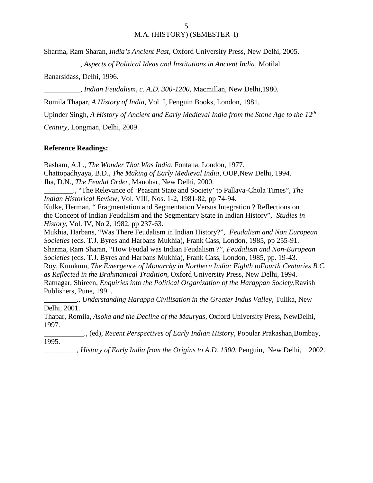Sharma, Ram Sharan, *India's Ancient Past*, Oxford University Press, New Delhi, 2005.

\_\_\_\_\_\_\_\_\_\_, *Aspects of Political Ideas and Institutions in Ancient India*, Motilal

Banarsidass, Delhi, 1996.

\_\_\_\_\_\_\_\_\_\_, *Indian Feudalism, c. A.D. 300-1200*, Macmillan, New Delhi,1980.

Romila Thapar, *A History of India,* Vol. I, Penguin Books, London, 1981.

Upinder Singh, *A History of Ancient and Early Medieval India from the Stone Age to the 12th*

*Century*, Longman, Delhi, 2009.

### **Reference Readings:**

Basham, A.L., *The Wonder That Was India*, Fontana, London, 1977. Chattopadhyaya, B.D., *The Making of Early Medieval India*, OUP,New Delhi, 1994. Jha, D.N., *The Feudal Order*, Manohar, New Delhi, 2000.

\_\_\_\_\_\_\_\_., "The Relevance of 'Peasant State and Society' to Pallava-Chola Times", *The Indian Historical Review*, Vol. VIII, Nos. 1-2, 1981-82, pp 74-94.

Kulke, Herman, " Fragmentation and Segmentation Versus Integration ? Reflections on the Concept of Indian Feudalism and the Segmentary State in Indian History", *Studies in History*, Vol. IV, No 2, 1982, pp 237-63.

Mukhia, Harbans, "Was There Feudalism in Indian History?", *Feudalism and Non European Societies* (eds. T.J. Byres and Harbans Mukhia), Frank Cass, London, 1985, pp 255-91. Sharma, Ram Sharan, "How Feudal was Indian Feudalism ?", *Feudalism and Non-European Societies* (eds. T.J. Byres and Harbans Mukhia), Frank Cass, London, 1985, pp. 19-43. Roy, Kumkum, *The Emergence of Monarchy in Northern India: Eighth toFourth Centuries B.C. as Reflected in the Brahmanical Tradition*, Oxford University Press, New Delhi, 1994. Ratnagar, Shireen, *Enquiries into the Political Organization of the Harappan Society*,Ravish Publishers, Pune, 1991.

\_\_\_\_\_\_\_\_\_., *Understanding Harappa Civilisation in the Greater Indus Valley*, Tulika, New Delhi, 2001.

Thapar, Romila, *Asoka and the Decline of the Mauryas*, Oxford University Press, NewDelhi, 1997.

\_\_\_\_\_\_\_\_\_\_\_., (ed), *Recent Perspectives of Early Indian History*, Popular Prakashan,Bombay, 1995.

\_\_\_\_\_\_\_\_\_, *History of Early India from the Origins to A.D. 1300*, Penguin, New Delhi, 2002.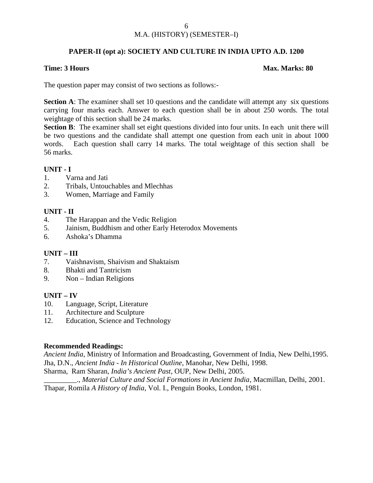### **PAPER-II (opt a): SOCIETY AND CULTURE IN INDIA UPTO A.D. 1200**

### **Time: 3 Hours Max. Marks: 80**

The question paper may consist of two sections as follows:-

**Section A**: The examiner shall set 10 questions and the candidate will attempt any six questions carrying four marks each. Answer to each question shall be in about 250 words. The total weightage of this section shall be 24 marks.

**Section B**: The examiner shall set eight questions divided into four units. In each unit there will be two questions and the candidate shall attempt one question from each unit in about 1000 words. Each question shall carry 14 marks. The total weightage of this section shall be 56 marks.

### **UNIT - I**

- 1. Varna and Jati
- 2. Tribals, Untouchables and Mlechhas
- 3. Women, Marriage and Family

### **UNIT - II**

- 4. The Harappan and the Vedic Religion
- 5. Jainism, Buddhism and other Early Heterodox Movements
- 6. Ashoka's Dhamma

### **UNIT – III**

- 7. Vaishnavism, Shaivism and Shaktaism
- 8. Bhakti and Tantricism
- 9. Non Indian Religions

### **UNIT – IV**

- 10. Language, Script, Literature
- 11. Architecture and Sculpture
- 12. Education, Science and Technology

### **Recommended Readings:**

*Ancient India*, Ministry of Information and Broadcasting, Government of India, New Delhi,1995. Jha, D.N., *Ancient India - In Historical Outline*, Manohar, New Delhi, 1998.

Sharma, Ram Sharan, *India's Ancient Past*, OUP, New Delhi, 2005.

\_\_\_\_\_\_\_\_\_., *Material Culture and Social Formations in Ancient India*, Macmillan, Delhi, 2001. Thapar, Romila *A History of India*, Vol. I., Penguin Books, London, 1981.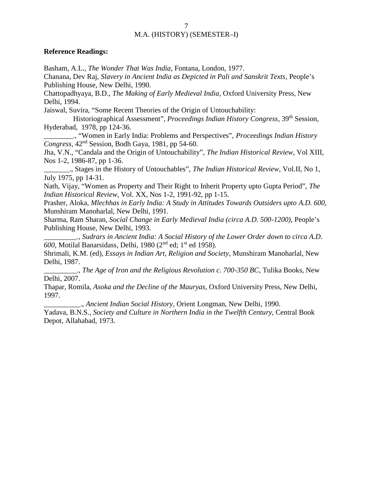### **Reference Readings:**

Basham, A.L., *The Wonder That Was India*, Fontana, London, 1977.

Chanana, Dev Raj, *Slavery in Ancient India as Depicted in Pali and Sanskrit Texts*, People's Publishing House, New Delhi, 1990.

Chattopadhyaya, B.D., *The Making of Early Medieval India*, Oxford University Press, New Delhi, 1994.

Jaiswal, Suvira, "Some Recent Theories of the Origin of Untouchability:

Historiographical Assessment", *Proceedings Indian History Congress*, 39th Session, Hyderabad, 1978, pp 124-36.

\_\_\_\_\_\_\_\_., "Women in Early India: Problems and Perspectives", *Proceedings Indian History Congress*, 42nd Session, Bodh Gaya, 1981, pp 54-60.

Jha, V.N., "Candala and the Origin of Untouchability", *The Indian Historical Review*, Vol XIII, Nos 1-2, 1986-87, pp 1-36.

\_\_\_\_\_\_\_., Stages in the History of Untouchables", *The Indian Historical Review*, Vol.II, No 1, July 1975, pp 14-31.

Nath, Vijay, "Women as Property and Their Right to Inherit Property upto Gupta Period", *The Indian Historical Review*, Vol. XX, Nos 1-2, 1991-92, pp 1-15.

Prasher, Aloka, *Mlechhas in Early India: A Study in Attitudes Towards Outsiders upto A.D. 600*, Munshiram Manoharlal, New Delhi, 1991.

Sharma, Ram Sharan, *Social Change in Early Medieval India (circa A.D. 500-1200)*, People's Publishing House, New Delhi, 1993.

\_\_\_\_\_\_\_\_\_., *Sudrars in Ancient India: A Social History of the Lower Order down to circa A.D.*  $600$ , Motilal Banarsidass, Delhi, 1980 ( $2<sup>nd</sup>$  ed;  $1<sup>st</sup>$  ed 1958).

Shrimali, K.M. (ed), *Essays in Indian Art, Religion and Society*, Munshiram Manoharlal, New Delhi, 1987.

\_\_\_\_\_\_\_\_\_., *The Age of Iron and the Religious Revolution c. 700-350 BC*, Tulika Books, New Delhi, 2007.

Thapar, Romila, *Asoka and the Decline of the Mauryas*, Oxford University Press, New Delhi, 1997.

\_\_\_\_\_\_\_\_\_\_., *Ancient Indian Social History*, Orient Longman, New Delhi, 1990.

Yadava, B.N.S., *Society and Culture in Northern India in the Twelfth Century*, Central Book Depot, Allahabad, 1973.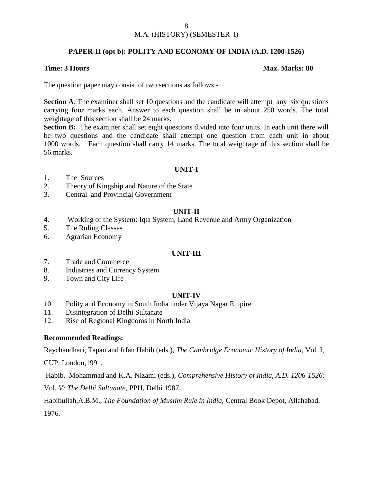### **PAPER-II (opt b): POLITY AND ECONOMY OF INDIA (A.D. 1200-1526)**

### **Time: 3 Hours Max. Marks: 80**

The question paper may consist of two sections as follows:-

**Section A**: The examiner shall set 10 questions and the candidate will attempt any six questions carrying four marks each. Answer to each question shall be in about 250 words. The total weightage of this section shall be 24 marks.

**Section B:** The examiner shall set eight questions divided into four units. In each unit there will be two questions and the candidate shall attempt one question from each unit in about 1000 words. Each question shall carry 14 marks. The total weightage of this section shall be 56 marks.

### **UNIT-I**

- 1. The Sources
- 2. Theory of Kingship and Nature of the State
- 3. Central and Provincial Government

### **UNIT-II**

- 4. Working of the System: Iqta System, Land Revenue and Army Organization
- 5. The Ruling Classes
- 6. Agrarian Economy

### **UNIT-III**

- 7. Trade and Commerce
- 8. Industries and Currency System
- 9. Town and City Life

### **UNIT-IV**

- 10. Polity and Economy in South India under Vijaya Nagar Empire
- 11. Disintegration of Delhi Sultanate
- 12. Rise of Regional Kingdoms in North India

### **Recommended Readings:**

Raychaudhari, Tapan and Irfan Habib (eds.), *The Cambridge Economic History of India,* Vol. I*,*

CUP, London,1991.

Habib, Mohammad and K.A. Nizami (eds.), *Comprehensive History of India, A.D. 1206-1526:*

Vol*. V: The Delhi Sultanate*, PPH, Delhi 1987.

Habibullah,A.B.M., *The Foundation of Muslim Rule in India,* Central Book Depot, Allahabad, 1976.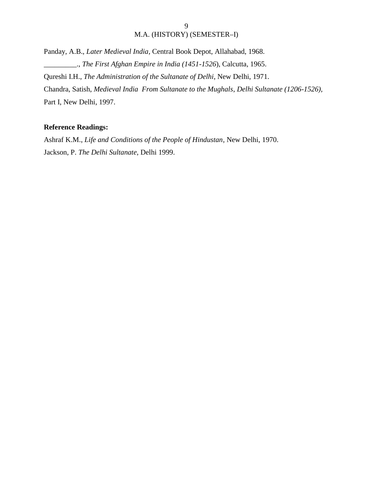Panday, A.B., *Later Medieval India,* Central Book Depot, Allahabad, 1968. \_\_\_\_\_\_\_\_\_., *The First Afghan Empire in India (1451-1526*), Calcutta, 1965. Qureshi I.H., *The Administration of the Sultanate of Delhi*, New Delhi, 1971. Chandra, Satish, *Medieval India From Sultanate to the Mughals*, *Delhi Sultanate (1206-1526),* Part I, New Delhi, 1997.

### **Reference Readings:**

Ashraf K.M., *Life and Conditions of the People of Hindustan*, New Delhi, 1970. Jackson, P. *The Delhi Sultanate*, Delhi 1999.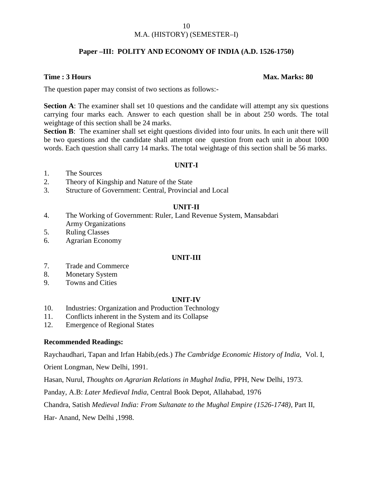### M.A. (HISTORY) (SEMESTER–I)

### **Paper –III: POLITY AND ECONOMY OF INDIA (A.D. 1526-1750)**

### **Time : 3 Hours Max. Marks: 80**

The question paper may consist of two sections as follows:-

**Section A**: The examiner shall set 10 questions and the candidate will attempt any six questions carrying four marks each. Answer to each question shall be in about 250 words. The total weightage of this section shall be 24 marks.

**Section B**: The examiner shall set eight questions divided into four units. In each unit there will be two questions and the candidate shall attempt one question from each unit in about 1000 words. Each question shall carry 14 marks. The total weightage of this section shall be 56 marks.

### **UNIT-I**

- 1. The Sources
- 2. Theory of Kingship and Nature of the State
- 3. Structure of Government: Central, Provincial and Local

### **UNIT-II**

- 4. The Working of Government: Ruler, Land Revenue System, Mansabdari Army Organizations
- 5. Ruling Classes
- 6. Agrarian Economy

### **UNIT-III**

- 7. Trade and Commerce
- 8. Monetary System
- 9. Towns and Cities

### **UNIT-IV**

- 10. Industries: Organization and Production Technology
- 11. Conflicts inherent in the System and its Collapse
- 12. Emergence of Regional States

### **Recommended Readings:**

Raychaudhari, Tapan and Irfan Habib,(eds.) *The Cambridge Economic History of India,* Vol. I*,*

Orient Longman, New Delhi, 1991.

Hasan, Nurul, *Thoughts on Agrarian Relations in Mughal India,* PPH, New Delhi, 1973.

Panday, A.B: *Later Medieval India,* Central Book Depot, Allahabad, 1976

Chandra, Satish *Medieval India: From Sultanate to the Mughal Empire (1526-1748),* Part II*,*

Har- Anand, New Delhi ,1998.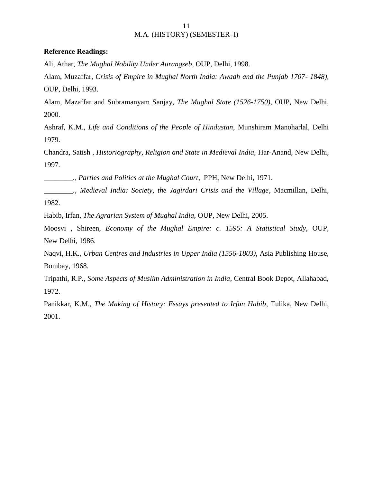### **Reference Readings:**

Ali, Athar, *The Mughal Nobility Under Aurangzeb*, OUP, Delhi, 1998.

Alam, Muzaffar, *Crisis of Empire in Mughal North India: Awadh and the Punjab 1707- 1848),* OUP, Delhi, 1993.

Alam, Mazaffar and Subramanyam Sanjay, *The Mughal State (1526-1750),* OUP, New Delhi, 2000.

Ashraf, K.M., *Life and Conditions of the People of Hindustan,* Munshiram Manoharlal, Delhi 1979.

Chandra, Satish , *Historiography, Religion and State in Medieval India,* Har-Anand, New Delhi, 1997*.*

*\_\_\_\_\_\_\_\_., Parties and Politics at the Mughal Court*, PPH, New Delhi, 1971.

*\_\_\_\_\_\_\_\_., Medieval India: Society, the Jagirdari Crisis and the Village*, Macmillan, Delhi, 1982.

Habib, Irfan*, The Agrarian System of Mughal India,* OUP, New Delhi, 2005.

Moosvi , Shireen, *Economy of the Mughal Empire: c. 1595: A Statistical Study,* OUP, New Delhi, 1986.

Naqvi, H.K*., Urban Centres and Industries in Upper India (1556-1803),* Asia Publishing House, Bombay, 1968.

Tripathi, R.P*., Some Aspects of Muslim Administration in India*, Central Book Depot, Allahabad, 1972.

Panikkar, K.M., *The Making of History: Essays presented to Irfan Habib*, Tulika, New Delhi, 2001.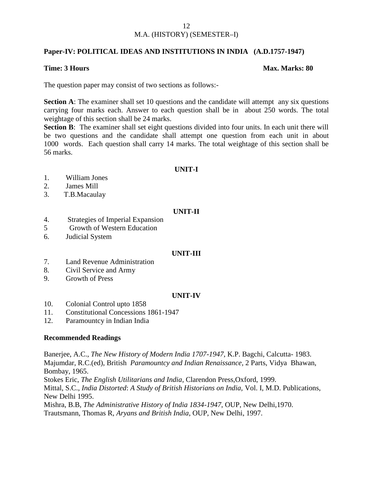### **Paper-IV: POLITICAL IDEAS AND INSTITUTIONS IN INDIA (A.D.1757-1947)**

### **Time: 3 Hours Max. Marks: 80**

The question paper may consist of two sections as follows:-

**Section A**: The examiner shall set 10 questions and the candidate will attempt any six questions carrying four marks each. Answer to each question shall be in about 250 words. The total weightage of this section shall be 24 marks.

**Section B**: The examiner shall set eight questions divided into four units. In each unit there will be two questions and the candidate shall attempt one question from each unit in about 1000 words. Each question shall carry 14 marks. The total weightage of this section shall be 56 marks.

### **UNIT-I**

- 1. William Jones
- 2. James Mill
- 3. T.B.Macaulay

### **UNIT-II**

- 4. Strategies of Imperial Expansion
- 5 Growth of Western Education
- 6. Judicial System

### **UNIT-III**

- 7. Land Revenue Administration
- 8. Civil Service and Army
- 9. Growth of Press

### **UNIT-IV**

- 10. Colonial Control upto 1858
- 11. Constitutional Concessions 1861-1947
- 12. Paramountcy in Indian India

### **Recommended Readings**

Banerjee, A.C., *The New History of Modern India 1707-1947*, K.P. Bagchi, Calcutta- 1983. Majumdar, R.C.(ed), British *Paramountcy and Indian Renaissance,* 2 Parts, Vidya Bhawan, Bombay, 1965. Stokes Eric, *The English Utilitarians and India*, Clarendon Press,Oxford, 1999. Mittal, S.C., *India Distorted*: *A Study of British Historians on India,* Vol. I, M.D. Publications, New Delhi 1995. Mishra, B.B*, The Administrative History of India 1834*-*1947*, OUP, New Delhi,1970. Trautsmann, Thomas R, *Aryans and British India*, OUP, New Delhi, 1997.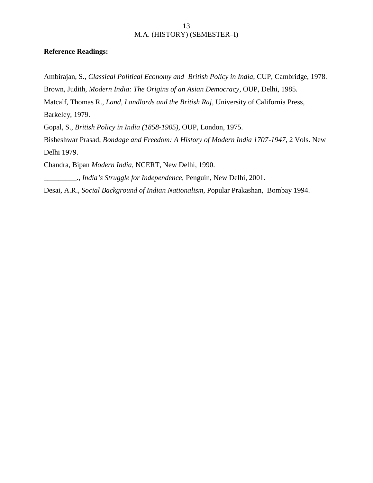### **Reference Readings:**

Ambirajan, S., *Classical Political Economy and British Policy in India*, CUP, Cambridge, 1978.

Brown, Judith, *Modern India: The Origins of an Asian Democracy*, OUP, Delhi, 1985.

Matcalf, Thomas R., *Land, Landlords and the British Raj*, University of California Press,

Barkeley, 1979.

Gopal, S., *British Policy in India (1858-1905),* OUP, London, 1975.

Bisheshwar Prasad, *Bondage and Freedom: A History of Modern India 1707-1947*, 2 Vols. New Delhi 1979.

Chandra, Bipan *Modern India*, NCERT, New Delhi, 1990.

\_\_\_\_\_\_\_\_\_., *India's Struggle for Independence,* Penguin, New Delhi, 2001.

Desai, A.R., *Social Background of Indian Nationalism*, Popular Prakashan, Bombay 1994.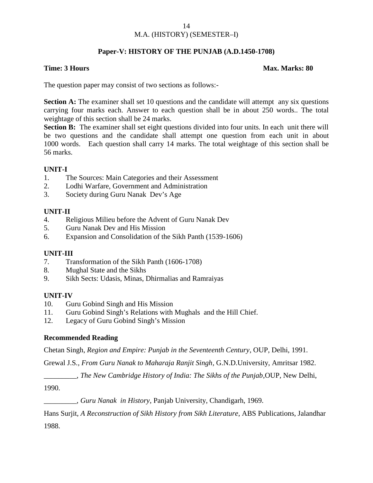### **Paper-V: HISTORY OF THE PUNJAB (A.D.1450-1708)**

### **Time: 3 Hours Max. Marks: 80**

The question paper may consist of two sections as follows:-

**Section A:** The examiner shall set 10 questions and the candidate will attempt any six questions carrying four marks each. Answer to each question shall be in about 250 words.. The total weightage of this section shall be 24 marks.

**Section B:** The examiner shall set eight questions divided into four units. In each unit there will be two questions and the candidate shall attempt one question from each unit in about 1000 words. Each question shall carry 14 marks. The total weightage of this section shall be 56 marks.

### **UNIT-I**

- 1. The Sources: Main Categories and their Assessment
- 2. Lodhi Warfare, Government and Administration
- 3. Society during Guru Nanak Dev's Age

### **UNIT-II**

- 4. Religious Milieu before the Advent of Guru Nanak Dev
- 5. Guru Nanak Dev and His Mission
- 6. Expansion and Consolidation of the Sikh Panth (1539-1606)

### **UNIT-III**

- 7. Transformation of the Sikh Panth (1606-1708)
- 8. Mughal State and the Sikhs
- 9. Sikh Sects: Udasis, Minas, Dhirmalias and Ramraiyas

### **UNIT-IV**

- 10. Guru Gobind Singh and His Mission
- 11. Guru Gobind Singh's Relations with Mughals and the Hill Chief.
- 12. Legacy of Guru Gobind Singh's Mission

### **Recommended Reading**

Chetan Singh, *Region and Empire: Punjab in the Seventeenth Century*, OUP, Delhi, 1991.

Grewal J.S*., From Guru Nanak to Maharaja Ranjit Singh*, G.N.D.University, Amritsar 1982.

\_\_\_\_\_\_\_\_\_, *The New Cambridge History of India: The Sikhs of the Punjab*,OUP, New Delhi,

1990.

\_\_\_\_\_\_\_\_\_, *Guru Nanak in History*, Panjab University, Chandigarh, 1969.

Hans Surjit, *A Reconstruction of Sikh History from Sikh Literature*, ABS Publications, Jalandhar 1988.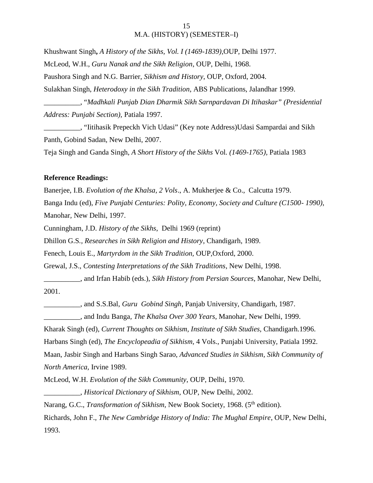Khushwant Singh**,** *A History of the Sikhs, Vol. I (1469-1839),*OUP*,* Delhi 1977. McLeod, W.H., *Guru Nanak and the Sikh Religion*, OUP, Delhi, 1968. Paushora Singh and N.G. Barrier, *Sikhism and History*, OUP, Oxford, 2004. Sulakhan Singh, *Heterodoxy in the Sikh Tradition*, ABS Publications, Jalandhar 1999. \_\_\_\_\_\_\_\_\_\_, "*Madhkali Punjab Dian Dharmik Sikh Sarnpardavan Di Itihaskar" (Presidential Address: Punjabi Section),* Patiala 1997. \_\_\_\_\_\_\_\_\_\_, "Iitihasik Prepeckh Vich Udasi" (Key note Address)Udasi Sampardai and Sikh

Panth, Gobind Sadan, New Delhi, 2007.

Teja Singh and Ganda Singh, *A Short History of the Sikhs* Vol*. (1469-1765),* Patiala 1983

### **Reference Readings:**

Banerjee, I.B. *Evolution of the Khalsa, 2 Vols*., A. Mukherjee & Co., Calcutta 1979.

Banga Indu (ed), *Five Punjabi Centuries: Polity, Economy, Society and Culture (C1500- 1990)*, Manohar*,* New Delhi, 1997.

Cunningham, J.D. *History of the Sikhs*, Delhi 1969 (reprint)

Dhillon G.S*., Researches in Sikh Religion and History*, Chandigarh, 1989.

Fenech, Louis E., *Martyrdom in the Sikh Tradition,* OUP*,*Oxford, 2000.

Grewal, J.S., *Contesting Interpretations of the Sikh Traditions*, New Delhi, 1998.

\_\_\_\_\_\_\_\_\_\_, and Irfan Habib (eds.), *Sikh History from Persian Sources*, Manohar, New Delhi, 2001.

\_\_\_\_\_\_\_\_\_\_, and S.S.Bal, *Guru Gobind Singh*, Panjab University, Chandigarh, 1987.

\_\_\_\_\_\_\_\_\_\_, and Indu Banga*, The Khalsa Over 300 Years*, Manohar, New Delhi, 1999.

Kharak Singh (ed), *Current Thoughts on Sikhism, Institute of Sikh Studies,* Chandigarh.1996.

Harbans Singh (ed), *The Encyclopeadia of Sikhism,* 4 Vols., Punjabi University, Patiala 1992.

Maan, Jasbir Singh and Harbans Singh Sarao, *Advanced Studies in Sikhism, Sikh Community of North America,* Irvine 1989.

McLeod, W.H. *Evolution of the Sikh Community*, OUP, Delhi, 1970.

\_\_\_\_\_\_\_\_\_\_, *Historical Dictionary of Sikhism*, OUP, New Delhi, 2002.

Narang, G.C., *Transformation of Sikhism*, New Book Society, 1968. (5<sup>th</sup> edition).

Richards, John F., *The New Cambridge History of India: The Mughal Empire*, OUP, New Delhi, 1993.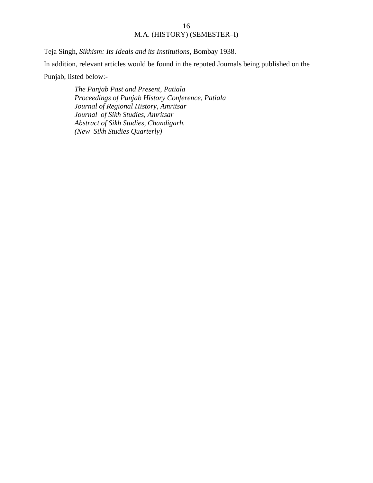Teja Singh, *Sikhism: Its Ideals and its Institutions*, Bombay 1938. In addition, relevant articles would be found in the reputed Journals being published on the Punjab, listed below:-

> *The Panjab Past and Present, Patiala Proceedings of Punjab History Conference, Patiala Journal of Regional History, Amritsar Journal of Sikh Studies, Amritsar Abstract of Sikh Studies, Chandigarh. (New Sikh Studies Quarterly)*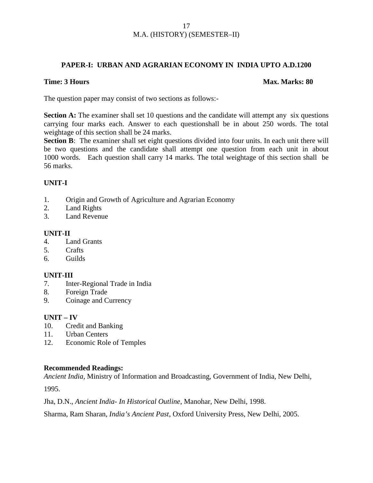### **PAPER-I: URBAN AND AGRARIAN ECONOMY IN INDIA UPTO A.D.1200**

### **Time: 3 Hours Max. Marks: 80**

The question paper may consist of two sections as follows:-

**Section A:** The examiner shall set 10 questions and the candidate will attempt any six questions carrying four marks each. Answer to each questionshall be in about 250 words. The total weightage of this section shall be 24 marks.

**Section B**: The examiner shall set eight questions divided into four units. In each unit there will be two questions and the candidate shall attempt one question from each unit in about 1000 words. Each question shall carry 14 marks. The total weightage of this section shall be 56 marks.

### **UNIT-I**

- 1. Origin and Growth of Agriculture and Agrarian Economy
- 2. Land Rights
- 3. Land Revenue

### **UNIT-II**

- 4. Land Grants
- 5. Crafts
- 6. Guilds

### **UNIT-III**

- 7. Inter-Regional Trade in India
- 8. Foreign Trade
- 9. Coinage and Currency

### **UNIT – IV**

- 10. Credit and Banking
- 11. Urban Centers
- 12. Economic Role of Temples

### **Recommended Readings:**

*Ancient India*, Ministry of Information and Broadcasting, Government of India, New Delhi,

1995.

Jha, D.N., *Ancient India- In Historical Outline*, Manohar, New Delhi, 1998.

Sharma, Ram Sharan, *India's Ancient Past*, Oxford University Press, New Delhi, 2005.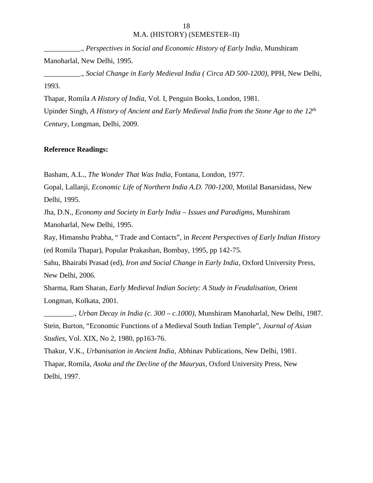\_\_\_\_\_\_\_\_\_\_., *Perspectives in Social and Economic History of Early India*, Munshiram Manoharlal, New Delhi, 1995.

\_\_\_\_\_\_\_\_\_\_., *Social Change in Early Medieval India ( Circa AD 500-1200),* PPH, New Delhi, 1993.

Thapar, Romila *A History of India*, Vol. I, Penguin Books, London, 1981.

Upinder Singh, *A History of Ancient and Early Medieval India from the Stone Age to the 12th Century*, Longman, Delhi, 2009.

### **Reference Readings:**

Basham, A.L., *The Wonder That Was India*, Fontana, London, 1977.

Gopal, Lallanji, *Economic Life of Northern India A.D. 700-1200*, Motilal Banarsidass, New Delhi, 1995.

Jha, D.N., *Economy and Society in Early India – Issues and Paradigms*, Munshiram Manoharlal, New Delhi, 1995.

Ray, Himanshu Prabha, " Trade and Contacts", in *Recent Perspectives of Early Indian History* (ed Romila Thapar), Popular Prakashan, Bombay, 1995, pp 142-75.

Sahu, Bhairabi Prasad (ed), *Iron and Social Change in Early India*, Oxford University Press, New Delhi, 2006.

Sharma, Ram Sharan, *Early Medieval Indian Society: A Study in Feudalisation,* Orient Longman, Kolkata, 2001.

\_\_\_\_\_\_\_\_., *Urban Decay in India (c. 300 – c.1000)*, Munshiram Manoharlal, New Delhi, 1987. Stein, Burton, "Economic Functions of a Medieval South Indian Temple", *Journal of Asian Studies*, Vol. XIX, No 2, 1980, pp163-76.

Thakur, V.K., *Urbanisation in Ancient India*, Abhinav Publications, New Delhi, 1981. Thapar, Romila, *Asoka and the Decline of the Mauryas*, Oxford University Press, New Delhi, 1997.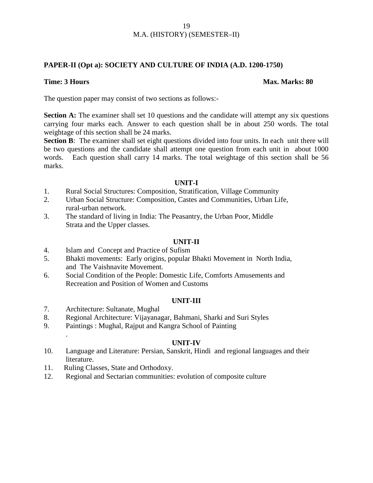### **PAPER-II (Opt a): SOCIETY AND CULTURE OF INDIA (A.D. 1200-1750)**

### **Time: 3 Hours Max. Marks: 80**

The question paper may consist of two sections as follows:-

**Section A:** The examiner shall set 10 questions and the candidate will attempt any six questions carrying four marks each. Answer to each question shall be in about 250 words. The total weightage of this section shall be 24 marks.

**Section B**: The examiner shall set eight questions divided into four units. In each unit there will be two questions and the candidate shall attempt one question from each unit in about 1000 words. Each question shall carry 14 marks. The total weightage of this section shall be 56 marks.

### **UNIT-I**

- 1. Rural Social Structures: Composition, Stratification, Village Community
- 2. Urban Social Structure: Composition, Castes and Communities, Urban Life, rural-urban network.
- 3. The standard of living in India: The Peasantry, the Urban Poor, Middle Strata and the Upper classes.

### **UNIT-II**

- 4. Islam and Concept and Practice of Sufism
- 5. Bhakti movements: Early origins, popular Bhakti Movement in North India, and The Vaishnavite Movement.
- 6. Social Condition of the People: Domestic Life, Comforts Amusements and Recreation and Position of Women and Customs

### **UNIT-III**

7. Architecture: Sultanate, Mughal

.

- 8. Regional Architecture: Vijayanagar, Bahmani, Sharki and Suri Styles
- 9. Paintings : Mughal, Rajput and Kangra School of Painting

### **UNIT-IV**

- 10. Language and Literature: Persian, Sanskrit, Hindi and regional languages and their literature.
- 11. Ruling Classes, State and Orthodoxy.
- 12. Regional and Sectarian communities: evolution of composite culture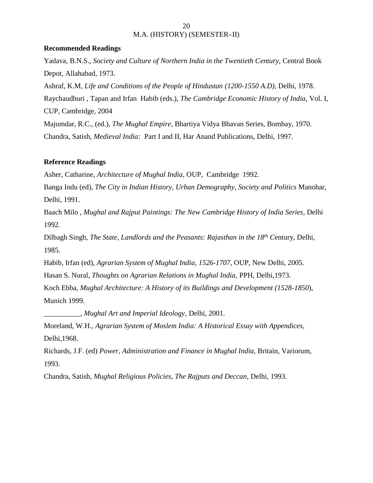### **Recommended Readings**

Yadava, B.N.S., *Society and Culture of Northern India in the Twentieth Century,* Central Book Depot*,* Allahabad, 1973. Ashraf, K.M, *Life and Conditions of the People of Hindustan (1200-1550 A.D),* Delhi, 1978. Raychaudhuri , Tapan and Irfan Habib (eds.), *The Cambridge Economic History of India*, Vol. I, CUP, Cambridge, 2004 Majumdar, R.C., (ed.), *The Mughal Empire,* Bhartiya Vidya Bhavan Series, Bombay, 1970. Chandra, Satish, *Medieval India:* Part I and II, Har Anand Publications, Delhi, 1997.

### **Reference Readings**

Asher, Catharine, *Architecture of Mughal India,* OUP, Cambridge 1992.

Banga Indu (ed), *The City in Indian History, Urban Demography, Society and Politics* Manohar, Delhi, 1991.

Baach Milo *, Mughal and Rajput Paintings: The New Cambridge History of India Series,* Delhi 1992*.*

Dilbagh Singh, *The State, Landlords and the Peasants: Rajasthan in the 18th C*entury, Delhi, 1985.

Habib, Irfan (ed), *Agrarian System of Mughal India*, *1526-1707*, OUP, New Delhi, 2005.

Hasan S. Nural, *Thoughts on Agrarian Relations in Mughal India,* PPH, Delhi,1973.

Koch Ebba, *Mughal Architecture: A History of its Buildings and Development (1528-1850*), Munich 1999.

*\_\_\_\_\_\_\_\_\_\_, Mughal Art and Imperial Ideology*, Delhi, 2001.

Moreland, W.H., *Agrarian System of Moslem India: A Historical Essay with Appendices,* Delhi,1968.

Richards, J.F. (ed) *Power, Administration and Finance in Mughal India,* Britain, Variorum, 1993.

Chandra, Satish, *Mughal Religious Policies, The Rajputs and Deccan,* Delhi, 1993.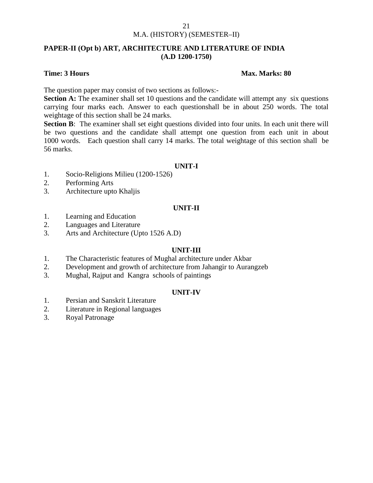### **PAPER-II (Opt b) ART, ARCHITECTURE AND LITERATURE OF INDIA (A.D 1200-1750)**

### **Time: 3 Hours Max. Marks: 80**

The question paper may consist of two sections as follows:-

**Section A:** The examiner shall set 10 questions and the candidate will attempt any six questions carrying four marks each. Answer to each questionshall be in about 250 words. The total weightage of this section shall be 24 marks.

**Section B**: The examiner shall set eight questions divided into four units. In each unit there will be two questions and the candidate shall attempt one question from each unit in about 1000 words. Each question shall carry 14 marks. The total weightage of this section shall be 56 marks.

### **UNIT-I**

- 1. Socio-Religions Milieu (1200-1526)
- 2. Performing Arts
- 3. Architecture upto Khaljis

### **UNIT-II**

- 1. Learning and Education
- 2. Languages and Literature
- 3. Arts and Architecture (Upto 1526 A.D)

### **UNIT-III**

- 1. The Characteristic features of Mughal architecture under Akbar
- 2. Development and growth of architecture from Jahangir to Aurangzeb
- 3. Mughal, Rajput and Kangra schools of paintings

### **UNIT-IV**

- 1. Persian and Sanskrit Literature
- 2. Literature in Regional languages
- 3. Royal Patronage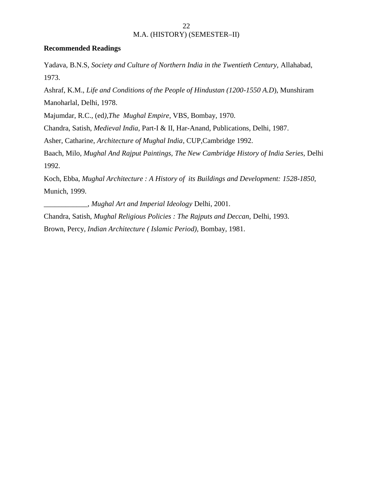### **Recommended Readings**

Yadava, B.N.S, *Society and Culture of Northern India in the Twentieth Century,* Allahabad, 1973.

Ashraf, K.M., *Life and Conditions of the People of Hindustan (1200-1550 A.D*), Munshiram Manoharlal, Delhi, 1978.

Majumdar, R.C., (ed*),The Mughal Empire*, VBS, Bombay, 1970.

Chandra, Satish, *Medieval India*, Part-I & II, Har-Anand, Publications, Delhi, 1987.

Asher, Catharine, *Architecture of Mughal India*, CUP,Cambridge 1992.

Baach, Milo, *Mughal And Rajput Paintings, The New Cambridge History of India Series,* Delhi 1992.

Koch, Ebba, *Mughal Architecture : A History of its Buildings and Development: 1528-1850*, Munich, 1999.

\_\_\_\_\_\_\_\_\_\_\_\_, *Mughal Art and Imperial Ideology* Delhi, 2001.

Chandra, Satish, *Mughal Religious Policies : The Rajputs and Deccan,* Delhi, 1993. Brown, Percy, *Indian Architecture ( Islamic Period),* Bombay, 1981.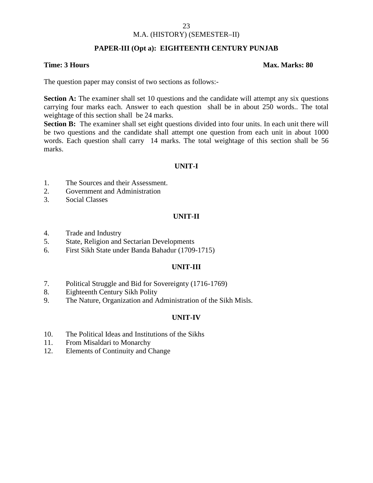### M.A. (HISTORY) (SEMESTER–II)

### **PAPER-III (Opt a): EIGHTEENTH CENTURY PUNJAB**

### **Time: 3 Hours Max. Marks: 80**

The question paper may consist of two sections as follows:-

**Section A:** The examiner shall set 10 questions and the candidate will attempt any six questions carrying four marks each. Answer to each question shall be in about 250 words.. The total weightage of this section shall be 24 marks.

**Section B:** The examiner shall set eight questions divided into four units. In each unit there will be two questions and the candidate shall attempt one question from each unit in about 1000 words. Each question shall carry 14 marks. The total weightage of this section shall be 56 marks.

### **UNIT-I**

- 1. The Sources and their Assessment.
- 2. Government and Administration
- 3. Social Classes

### **UNIT-II**

- 4. Trade and Industry
- 5. State, Religion and Sectarian Developments
- 6. First Sikh State under Banda Bahadur (1709-1715)

### **UNIT-III**

- 7. Political Struggle and Bid for Sovereignty (1716-1769)
- 8. Eighteenth Century Sikh Polity
- 9. The Nature, Organization and Administration of the Sikh Misls.

### **UNIT-IV**

- 10. The Political Ideas and Institutions of the Sikhs
- 11. From Misaldari to Monarchy
- 12. Elements of Continuity and Change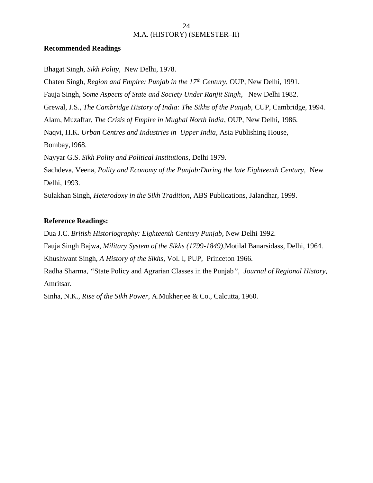### **Recommended Readings**

Bhagat Singh, *Sikh Polity*, New Delhi, 1978.

Chaten Singh, *Region and Empire: Punjab in the 17th Century*, OUP, New Delhi, 1991.

Fauja Singh, *Some Aspects of State and Society Under Ranjit Singh*, New Delhi 1982.

Grewal, J.S., *The Cambridge History of India: The Sikhs of the Punjab,* CUP, Cambridge*,* 1994.

Alam, Muzaffar, *The Crisis of Empire in Mughal North India*, OUP, New Delhi, 1986.

Naqvi, H.K. *Urban Centres and Industries in Upper India*, Asia Publishing House, Bombay,1968.

Nayyar G.S. *Sikh Polity and Political Institutions*, Delhi 1979.

Sachdeva, Veena, *Polity and Economy of the Punjab:During the late Eighteenth Century,* New Delhi, 1993.

Sulakhan Singh*, Heterodoxy in the Sikh Tradition*, ABS Publications, Jalandhar, 1999.

### **Reference Readings:**

Dua J.C. *British Historiography: Eighteenth Century Punjab*, New Delhi 1992.

Fauja Singh Bajwa, *Military System of the Sikhs (1799-1849),*Motilal Banarsidass*,* Delhi, 1964.

Khushwant Singh, *A History of the Sikhs*, Vol. I, PUP, Princeton 1966.

Radha Sharma*, "*State Policy and Agrarian Classes in the Punjab*", Journal of Regional History,* Amritsar.

Sinha, N.K., *Rise of the Sikh Power*, A.Mukherjee & Co., Calcutta, 1960.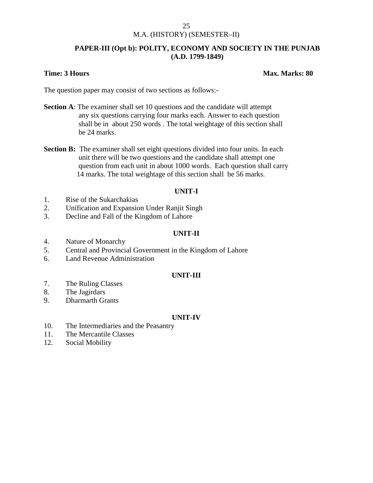### M.A. (HISTORY) (SEMESTER–II)

### **PAPER-III (Opt b): POLITY, ECONOMY AND SOCIETY IN THE PUNJAB (A.D. 1799-1849)**

### **Time: 3 Hours Max. Marks: 80**

The question paper may consist of two sections as follows:-

- **Section A**: The examiner shall set 10 questions and the candidate will attempt any six questions carrying four marks each. Answer to each question shall be in about 250 words . The total weightage of this section shall be 24 marks.
- **Section B:** The examiner shall set eight questions divided into four units. In each unit there will be two questions and the candidate shall attempt one question from each unit in about 1000 words. Each question shall carry 14 marks. The total weightage of this section shall be 56 marks.

### **UNIT-I**

- 1. Rise of the Sukarchakias
- 2. Unification and Expansion Under Ranjit Singh
- 3. Decline and Fall of the Kingdom of Lahore

### **UNIT-II**

- 4. Nature of Monarchy
- 5. Central and Provincial Government in the Kingdom of Lahore
- 6. Land Revenue Administration

### **UNIT-III**

- 7. The Ruling Classes
- 8. The Jagirdars
- 9. Dharmarth Grants

### **UNIT-IV**

- 10. The Intermediaries and the Peasantry
- 11. The Mercantile Classes
- 12. Social Mobility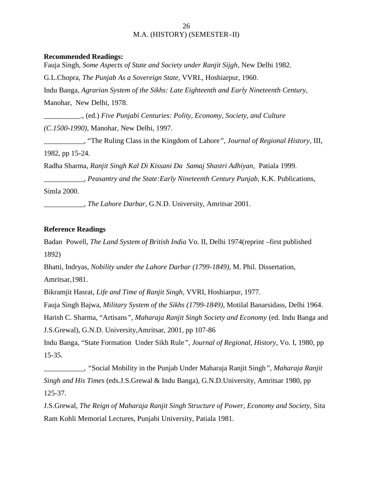### **Recommended Readings:**

Fauja Singh, *Some Aspects of State and Society under Ranjit Sijgh*, New Delhi 1982. G.L.Chopra, *The Punjab As a Sovereign State,* VVRI., Hoshiarpur, 1960. Indu Banga, *Agrarian System of the Sikhs: Late Eighteenth and Early Nineteenth Century,* Manohar, New Delhi, 1978. \_\_\_\_\_\_\_\_\_\_., (ed.) *Five Punjabi Centuries: Polity, Economy, Society, and Culture (C.1500-1990),* Manohar, New Delhi, 1997.

\_\_\_\_\_\_\_\_\_\_\_, "The Ruling Class in the Kingdom of Lahore*", Journal of Regional History*, III, 1982, pp 15-24.

Radha Sharma, *Ranjit Singh Kal Di Kissani Da Samaj Shastri Adhiyan,* Patiala 1999.

\_\_\_\_\_\_\_\_\_\_\_, *Peasantry and the State:Early Nineteenth Century Punjab,* K.K. Publications*,* Simla 2000.

\_\_\_\_\_\_\_\_\_\_\_, *The Lahore Darbar,* G.N.D. University, Amritsar 2001.

### **Reference Readings**

Badan Powell, *The Land System of British India* Vo. II, Delhi 1974(reprint –first published 1892)

Bhatti, Indryas, *Nobility under the Lahore Darbar (1799-1849),* M. Phil. Dissertation, Amritsar,1981.

Bikramjit Hasrat, *Life and Time of Ranjit Singh*, VVRI, Hoshiarpur, 1977.

Fauja Singh Bajwa, *Military System of the Sikhs (1799-1849),* Motilal Banarsidass, Delhi 1964.

Harish C. Sharma, "Artisans*", Maharaja Ranjit Singh Society and Economy* (ed. Indu Banga and

J.S.Grewal), G.N.D. University,Amritsar, 2001, pp 107-86

Indu Banga, "State Formation Under Sikh Rule*", Journal of Regional, History*, Vo. I, 1980, pp 15-35.

\_\_\_\_\_\_\_\_\_\_\_, *"*Social Mobility in the Punjab Under Maharaja Ranjit Singh*", Maharaja Ranjit Singh and His Times* (eds.J.S.Grewal & Indu Banga), G.N.D.University, Amritsar 1980, pp 125-37.

J.S.Grewal, *The Reign of Maharaja Ranjit Singh Structure of Power, Economy and Society,* Sita Ram Kohli Memorial Lectures, Punjabi University, Patiala 1981.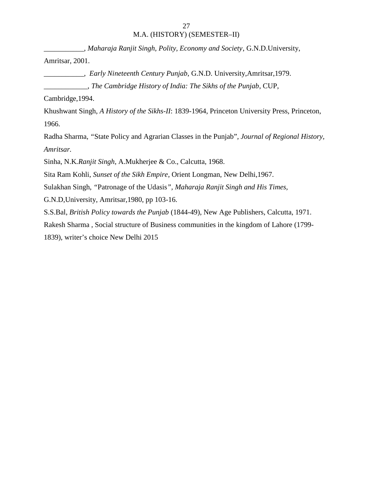*\_\_\_\_\_\_\_\_\_\_\_, Maharaja Ranjit Singh, Polity, Economy and Society*, G.N.D.University, Amritsar, 2001.

*\_\_\_\_\_\_\_\_\_\_\_, Early Nineteenth Century Punjab*, G.N.D. University,Amritsar,1979. \_\_\_\_\_\_\_\_\_\_\_\_, *The Cambridge History of India: The Sikhs of the Punjab*, CUP,

Cambridge,1994.

Khushwant Singh, *A History of the Sikhs-II*: 1839-1964, Princeton University Press, Princeton, 1966.

Radha Sharma, *"*State Policy and Agrarian Classes in the Punjab"*, Journal of Regional History, Amritsar.*

Sinha, N.K*.Ranjit Singh*, A.Mukherjee & Co., Calcutta, 1968.

Sita Ram Kohli, *Sunset of the Sikh Empire*, Orient Longman, New Delhi,1967.

Sulakhan Singh, *"*Patronage of the Udasis*", Maharaja Ranjit Singh and His Times,*

G.N.D,University, Amritsar,1980, pp 103-16.

S.S.Bal, *British Policy towards the Punjab* (1844-49), New Age Publishers, Calcutta, 1971.

Rakesh Sharma , Social structure of Business communities in the kingdom of Lahore (1799-

1839), writer's choice New Delhi 2015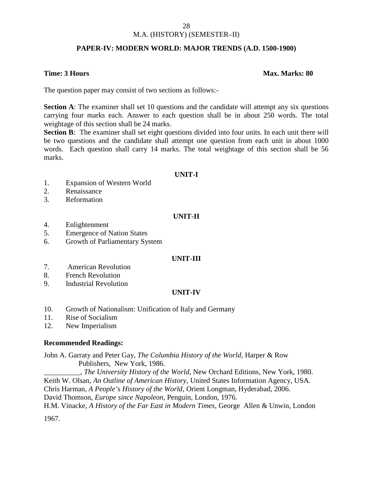### M.A. (HISTORY) (SEMESTER–II)

### **PAPER-IV: MODERN WORLD: MAJOR TRENDS (A.D. 1500-1900)**

### **Time: 3 Hours Max. Marks: 80**

The question paper may consist of two sections as follows:-

**Section A**: The examiner shall set 10 questions and the candidate will attempt any six questions carrying four marks each. Answer to each question shall be in about 250 words. The total weightage of this section shall be 24 marks.

**Section B**: The examiner shall set eight questions divided into four units. In each unit there will be two questions and the candidate shall attempt one question from each unit in about 1000 words. Each question shall carry 14 marks. The total weightage of this section shall be 56 marks.

### **UNIT-I**

- 1. Expansion of Western World
- 2. Renaissance
- 3. Reformation

### **UNIT-II**

- 4. Enlightenment
- 5. Emergence of Nation States
- 6. Growth of Parliamentary System

### **UNIT-III**

- 7. American Revolution
- 8. French Revolution
- 9. Industrial Revolution

### **UNIT-IV**

- 10. Growth of Nationalism: Unification of Italy and Germany
- 11. Rise of Socialism
- 12. New Imperialism

### **Recommended Readings:**

John A. Garraty and Peter Gay, *The Columbia History of the World*, Harper & Row Publishers, New York, 1986.

\_\_\_\_\_\_\_\_\_\_, *The University History of the World*, New Orchard Editions, New York, 1980. Keith W. Olsan, *An Outline of American History*, United States Information Agency, USA. Chris Harman, *A People's History of the World*, Orient Longman, Hyderabad, 2006. David Thomson, *Europe since Napoleon*, Penguin, London, 1976. H.M. Vinacke, *A History of the Far East in Modern Times*, George Allen & Unwin, London

1967.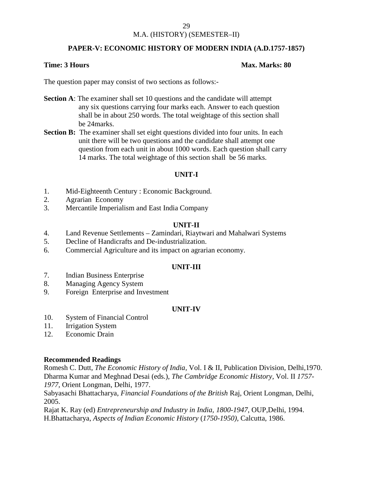### M.A. (HISTORY) (SEMESTER–II)

### **PAPER-V: ECONOMIC HISTORY OF MODERN INDIA (A.D.1757-1857)**

### **Time: 3 Hours Max. Marks: 80**

The question paper may consist of two sections as follows:-

- **Section A**: The examiner shall set 10 questions and the candidate will attempt any six questions carrying four marks each. Answer to each question shall be in about 250 words. The total weightage of this section shall be 24marks.
- **Section B:** The examiner shall set eight questions divided into four units. In each unit there will be two questions and the candidate shall attempt one question from each unit in about 1000 words. Each question shall carry 14 marks. The total weightage of this section shall be 56 marks.

### **UNIT-I**

- 1. Mid-Eighteenth Century : Economic Background.
- 2. Agrarian Economy
- 3. Mercantile Imperialism and East India Company

### **UNIT-II**

- 4. Land Revenue Settlements Zamindari, Riaytwari and Mahalwari Systems
- 5. Decline of Handicrafts and De-industrialization.
- 6. Commercial Agriculture and its impact on agrarian economy.

### **UNIT-III**

- 7. Indian Business Enterprise
- 8. Managing Agency System
- 9. Foreign Enterprise and Investment

### **UNIT-IV**

- 10. System of Financial Control
- 11. Irrigation System
- 12. Economic Drain

### **Recommended Readings**

Romesh C. Dutt, *The Economic History of India,* Vol. I & II, Publication Division, Delhi,1970. Dharma Kumar and Meghnad Desai (eds.), *The Cambridge Economic History,* Vol. II *1757- 1977,* Orient Longman, Delhi, 1977.

Sabyasachi Bhattacharya, *Financial Foundations of the British* Raj, Orient Longman, Delhi, 2005.

Rajat K. Ray (ed) *Entrepreneurship and Industry in India, 1800-1947*, OUP,Delhi, 1994. H.Bhattacharya, *Aspects of Indian Economic History* (*1750-1950),* Calcutta, 1986.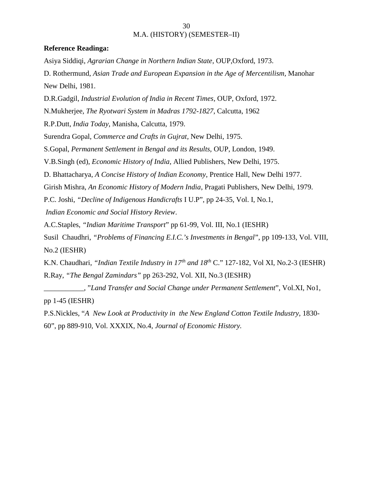### **Reference Readinga:**

Asiya Siddiqi, *Agrarian Change in Northern Indian State*, OUP,Oxford, 1973.

D. Rothermund, *Asian Trade and European Expansion in the Age of Mercentilism,* Manohar New Delhi, 1981.

D.R.Gadgil, *Industrial Evolution of India in Recent Times,* OUP*,* Oxford, 1972.

N.Mukherjee, *The Ryotwari System in Madras 1792-1827*, Calcutta, 1962

R.P.Dutt, *India Today*, Manisha, Calcutta, 1979.

Surendra Gopal, *Commerce and Crafts in Gujrat,* New Delhi, 1975.

S.Gopal, *Permanent Settlement in Bengal and its Results,* OUP, London, 1949.

V.B.Singh (ed), *Economic History of India*, Allied Publishers, New Delhi, 1975.

D. Bhattacharya, *A Concise History of Indian Economy*, Prentice Hall, New Delhi 1977.

Girish Mishra, *An Economic History of Modern India*, Pragati Publishers, New Delhi, 1979.

P.C. Joshi, *"Decline of Indigenous Handicrafts* I U.P", pp 24-35, Vol. I, No.1,

*Indian Economic and Social History Review*.

A.C.Staples, *"Indian Maritime Transport*" pp 61-99, Vol. III, No.1 (IESHR)

Susil Chaudhri, *"Problems of Financing E.I.C.'s Investments in Bengal*", pp 109-133, Vol. VIII, No.2 (IESHR)

K.N. Chaudhari, *"Indian Textile Industry in 17th and 18th* C." 127-182, Vol XI, No.2-3 (IESHR) R.Ray, *"The Bengal Zamindars"* pp 263-292, Vol. XII, No.3 (IESHR)

\_\_\_\_\_\_\_\_\_\_\_, "*Land Transfer and Social Change under Permanent Settlement*", Vol.XI, No1, pp 1-45 (IESHR)

P.S.Nickles, "*A New Look at Productivity in the New England Cotton Textile Industry,* 1830- 60", pp 889-910, Vol. XXXIX, No.4, *Journal of Economic History.*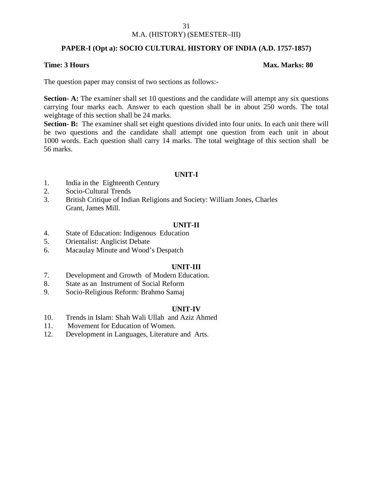### M.A. (HISTORY) (SEMESTER–III)

### **PAPER-I (Opt a): SOCIO CULTURAL HISTORY OF INDIA (A.D. 1757-1857)**

### **Time: 3 Hours Max. Marks: 80**

The question paper may consist of two sections as follows:-

**Section- A:** The examiner shall set 10 questions and the candidate will attempt any six questions carrying four marks each. Answer to each question shall be in about 250 words. The total weightage of this section shall be 24 marks.

**Section- B:** The examiner shall set eight questions divided into four units. In each unit there will be two questions and the candidate shall attempt one question from each unit in about 1000 words. Each question shall carry 14 marks. The total weightage of this section shall be 56 marks.

### **UNIT-I**

- 1. India in the Eighteenth Century
- 2. Socio-Cultural Trends
- 3. British Critique of Indian Religions and Society: William Jones, Charles Grant, James Mill.

### **UNIT-II**

- 4. State of Education: Indigenous Education
- 5. Orientalist: Anglicist Debate
- 6. Macaulay Minute and Wood's Despatch

### **UNIT-III**

- 7. Development and Growth of Modern Education.
- 8. State as an Instrument of Social Reform
- 9. Socio-Religious Reform: Brahmo Samaj

### **UNIT-IV**

- 10. Trends in Islam: Shah Wali Ullah and Aziz Ahmed
- 11. Movement for Education of Women.
- 12. Development in Languages, Literature and Arts.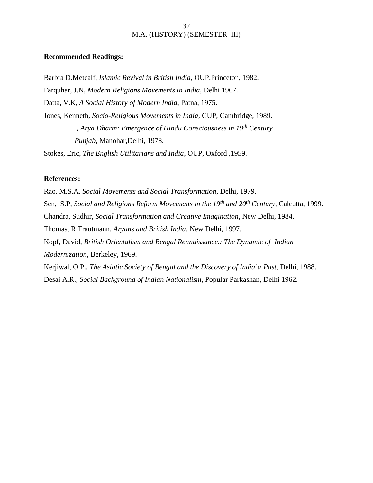### **Recommended Readings:**

Barbra D.Metcalf, *Islamic Revival in British India*, OUP,Princeton, 1982. Farquhar, J.N, *Modern Religions Movements in India*, Delhi 1967. Datta, V.K, *A Social History of Modern India*, Patna, 1975. Jones, Kenneth*, Socio-Religious Movements in India*, CUP, Cambridge, 1989. \_\_\_\_\_\_\_\_\_, *Arya Dharm: Emergence of Hindu Consciousness in 19th Century Punjab,* Manohar,Delhi, 1978.

Stokes, Eric, *The English Utilitarians and India*, OUP, Oxford ,1959.

### **References:**

Rao, M.S.A, *Social Movements and Social Transformation*, Delhi, 1979. Sen, S.P, *Social and Religions Reform Movements in the 19th and 20th Century,* Calcutta, 1999. Chandra, Sudhir, *Social Transformation and Creative Imagination*, New Delhi, 1984. Thomas, R Trautmann, *Aryans and British India*, New Delhi, 1997. Kopf, David, *British Orientalism and Bengal Rennaissance.: The Dynamic of Indian Modernization*, Berkeley, 1969. Kerjiwal, O.P., *The Asiatic Society of Bengal and the Discovery of India'a Past,* Delhi, 1988. Desai A.R., *Social Background of Indian Nationalism*, Popular Parkashan, Delhi 1962.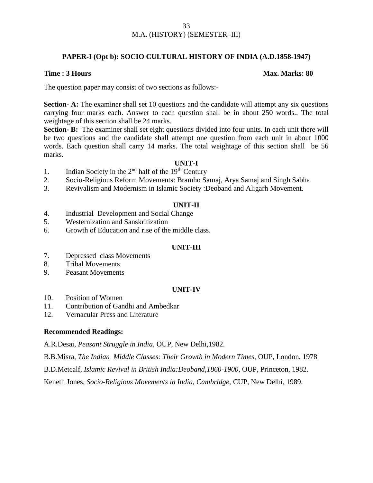### **PAPER-I (Opt b): SOCIO CULTURAL HISTORY OF INDIA (A.D.1858-1947)**

### **Time : 3 Hours Max. Marks: 80**

The question paper may consist of two sections as follows:-

**Section- A:** The examiner shall set 10 questions and the candidate will attempt any six questions carrying four marks each. Answer to each question shall be in about 250 words.. The total weightage of this section shall be 24 marks.

**Section- B:** The examiner shall set eight questions divided into four units. In each unit there will be two questions and the candidate shall attempt one question from each unit in about 1000 words. Each question shall carry 14 marks. The total weightage of this section shall be 56 marks.

### **UNIT-I**

- 1. Indian Society in the  $2<sup>nd</sup>$  half of the  $19<sup>th</sup>$  Century
- 2. Socio-Religious Reform Movements: Bramho Samaj, Arya Samaj and Singh Sabha
- 3. Revivalism and Modernism in Islamic Society :Deoband and Aligarh Movement.

### **UNIT-II**

- 4. Industrial Development and Social Change
- 5. Westernization and Sanskritization
- 6. Growth of Education and rise of the middle class.

### **UNIT-III**

- 7. Depressed class Movements
- 8. Tribal Movements
- 9. Peasant Movements

### **UNIT-IV**

- 10. Position of Women
- 11. Contribution of Gandhi and Ambedkar
- 12. Vernacular Press and Literature

### **Recommended Readings:**

A.R.Desai, *Peasant Struggle in India*, OUP, New Delhi,1982.

B.B.Misra, *The Indian Middle Classes: Their Growth in Modern Times,* OUP, London, 1978

B.D.Metcalf, *Islamic Revival in British India:Deoband,1860-1900*, OUP, Princeton, 1982.

Keneth Jones, *Socio-Religious Movements in India, Cambridge,* CUP, New Delhi, 1989.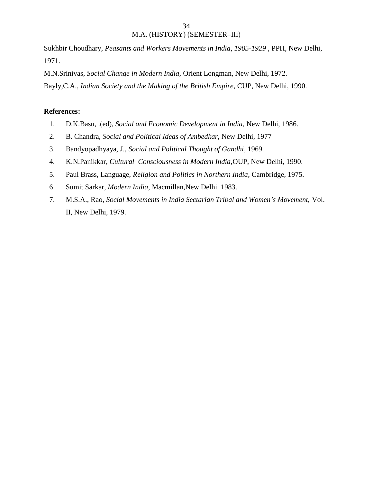Sukhbir Choudhary, *Peasants and Workers Movements in India, 1905-1929* , PPH, New Delhi, 1971.

M.N.Srinivas, *Social Change in Modern India,* Orient Longman*,* New Delhi, 1972. Bayly,C.A., *Indian Society and the Making of the British Empire*, CUP, New Delhi, 1990.

### **References:**

- 1. D.K.Basu, .(ed), *Social and Economic Development in India*, New Delhi, 1986.
- 2. B. Chandra, *Social and Political Ideas of Ambedkar*, New Delhi, 1977
- 3. Bandyopadhyaya, J., *Social and Political Thought of Gandhi*, 1969.
- 4. K.N.Panikkar, *Cultural Consciousness in Modern India*,OUP, New Delhi, 1990.
- 5. Paul Brass, Language, *Religion and Politics in Northern India*, Cambridge, 1975.
- 6. Sumit Sarkar, *Modern India,* Macmillan,New Delhi. 1983.
- 7. M.S.A., Rao, *Social Movements in India Sectarian Tribal and Women's Movement,* Vol. II, New Delhi, 1979.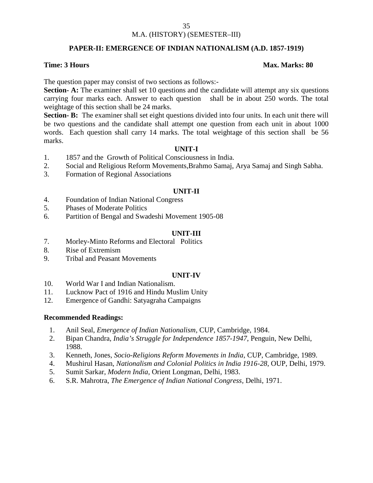### M.A. (HISTORY) (SEMESTER–III)

### **PAPER-II: EMERGENCE OF INDIAN NATIONALISM (A.D. 1857-1919)**

### **Time: 3 Hours Max. Marks: 80**

The question paper may consist of two sections as follows:-

**Section- A:** The examiner shall set 10 questions and the candidate will attempt any six questions carrying four marks each. Answer to each question shall be in about 250 words. The total weightage of this section shall be 24 marks.

**Section- B:** The examiner shall set eight questions divided into four units. In each unit there will be two questions and the candidate shall attempt one question from each unit in about 1000 words. Each question shall carry 14 marks. The total weightage of this section shall be 56 marks.

### **UNIT-I**

- 1. 1857 and the Growth of Political Consciousness in India.
- 2. Social and Religious Reform Movements,Brahmo Samaj, Arya Samaj and Singh Sabha.
- 3. Formation of Regional Associations

### **UNIT-II**

- 4. Foundation of Indian National Congress
- 5. Phases of Moderate Politics
- 6. Partition of Bengal and Swadeshi Movement 1905-08

### **UNIT-III**

- 7. Morley-Minto Reforms and Electoral Politics
- 8. Rise of Extremism
- 9. Tribal and Peasant Movements

### **UNIT-IV**

- 10. World War I and Indian Nationalism.
- 11. Lucknow Pact of 1916 and Hindu Muslim Unity
- 12. Emergence of Gandhi: Satyagraha Campaigns

### **Recommended Readings:**

- 1. Anil Seal, *Emergence of Indian Nationalism,* CUP, Cambridge, 1984.
- 2. Bipan Chandra, *India's Struggle for Independence 1857-1947*, Penguin, New Delhi, 1988.
- 3. Kenneth, Jones, *Socio-Religions Reform Movements in India*, CUP, Cambridge, 1989.
- 4. Mushirul Hasan, *Nationalism and Colonial Politics in India 1916-28*, OUP, Delhi, 1979.
- 5. Sumit Sarkar, *Modern India*, Orient Longman, Delhi, 1983.
- 6. S.R. Mahrotra, *The Emergence of Indian National Congress,* Delhi, 1971.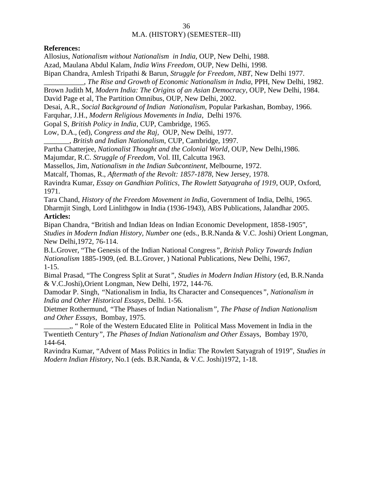### **References:**

Allosius, *Nationalism without Nationalism in India*, OUP, New Delhi, 1988.

Azad, Maulana Abdul Kalam, *India Wins Freedom*, OUP, New Delhi, 1998.

Bipan Chandra, Amlesh Tripathi & Barun, *Struggle for Freedom, NBT*, New Delhi 1977.

\_\_\_\_\_\_\_\_\_\_\_, *The Rise and Growth of Economic Nationalism in India*, PPH, New Delhi, 1982.

Brown Judith M, *Modern India: The Origins of an Asian Democracy*, OUP, New Delhi, 1984.

David Page et al, The Partition Omnibus, OUP, New Delhi, 2002.

Desai, A.R., *Social Background of Indian Nationalism,* Popular Parkashan, Bombay, 1966.

Farquhar, J.H., *Modern Religious Movements in India*, Delhi 1976.

Gopal S, *British Policy in India*, CUP, Cambridge, 1965.

Low, D.A., (ed), *Congress and the Raj,* OUP, New Delhi, 1977.

\_\_\_\_\_\_\_, *British and Indian Nationalism,* CUP, Cambridge, 1997.

Partha Chatterjee, *Nationalist Thought and the Colonial World*, OUP, New Delhi,1986.

Majumdar, R.C. *Struggle of Freedom*, Vol. III, Calcutta 1963.

Massellos, Jim, *Nationalism in the Indian Subcontinent*, Melbourne, 1972.

Matcalf, Thomas, R., *Aftermath of the Revolt: 1857-1878*, New Jersey, 1978.

Ravindra Kumar, *Essay on Gandhian Politics*, *The Rowlett Satyagraha of 1919*, OUP, Oxford, 1971.

Tara Chand, *History of the Freedom Movement in India*, Government of India, Delhi, 1965. Dharmjit Singh, Lord Linlithgow in India (1936-1943), ABS Publications, Jalandhar 2005.

### **Articles:**

Bipan Chandra, "British and Indian Ideas on Indian Economic Development, 1858-1905"*, Studies in Modern Indian History, Number one* (eds., B.R.Nanda & V.C. Joshi) Orient Longman, New Delhi,1972, 76-114.

B.L.Grover, "The Genesis of the Indian National Congress*", British Policy Towards Indian Nationalism* 1885-1909, (ed. B.L.Grover, ) National Publications, New Delhi, 1967, 1-15.

Bimal Prasad, "The Congress Split at Surat*", Studies in Modern Indian History* (ed, B.R.Nanda & V.C.Joshi),Orient Longman, New Delhi, 1972, 144-76.

Damodar P. Singh, *"*Nationalism in India, Its Character and Consequences*", Nationalism in India and Other Historical Essays*, Delhi. 1-56.

Dietmer Rothermund, *"*The Phases of Indian Nationalism*", The Phase of Indian Nationalism and Other Essays*, Bombay, 1975.

\_\_\_\_\_\_\_,, " Role of the Western Educated Elite in Political Mass Movement in India in the Twentieth Century*", The Phases of Indian Nationalism and Other Es*says, Bombay 1970, 144-64.

Ravindra Kumar, "Advent of Mass Politics in India: The Rowlett Satyagrah of 1919", *Studies in Modern Indian History*, No.1 (eds. B.R.Nanda, & V.C. Joshi)1972, 1-18.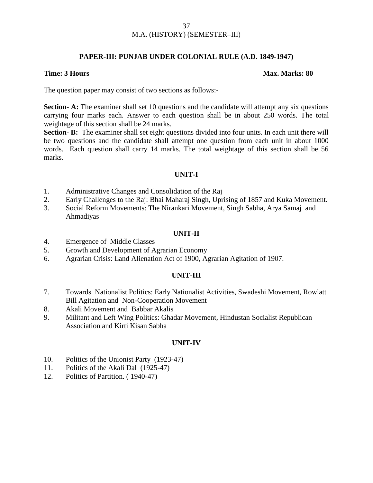### **PAPER-III: PUNJAB UNDER COLONIAL RULE (A.D. 1849-1947)**

### **Time: 3 Hours Max. Marks: 80**

The question paper may consist of two sections as follows:-

**Section- A:** The examiner shall set 10 questions and the candidate will attempt any six questions carrying four marks each. Answer to each question shall be in about 250 words. The total weightage of this section shall be 24 marks.

**Section- B:** The examiner shall set eight questions divided into four units. In each unit there will be two questions and the candidate shall attempt one question from each unit in about 1000 words. Each question shall carry 14 marks. The total weightage of this section shall be 56 marks.

### **UNIT-I**

- 1. Administrative Changes and Consolidation of the Raj
- 2. Early Challenges to the Raj: Bhai Maharaj Singh, Uprising of 1857 and Kuka Movement.
- 3. Social Reform Movements: The Nirankari Movement, Singh Sabha, Arya Samaj and Ahmadiyas

### **UNIT-II**

- 4. Emergence of Middle Classes
- 5. Growth and Development of Agrarian Economy
- 6. Agrarian Crisis: Land Alienation Act of 1900, Agrarian Agitation of 1907.

### **UNIT-III**

- 7. Towards Nationalist Politics: Early Nationalist Activities, Swadeshi Movement, Rowlatt Bill Agitation and Non-Cooperation Movement
- 8. Akali Movement and Babbar Akalis
- 9. Militant and Left Wing Politics: Ghadar Movement, Hindustan Socialist Republican Association and Kirti Kisan Sabha

### **UNIT-IV**

- 10. Politics of the Unionist Party (1923-47)
- 11. Politics of the Akali Dal (1925-47)
- 12. Politics of Partition. ( 1940-47)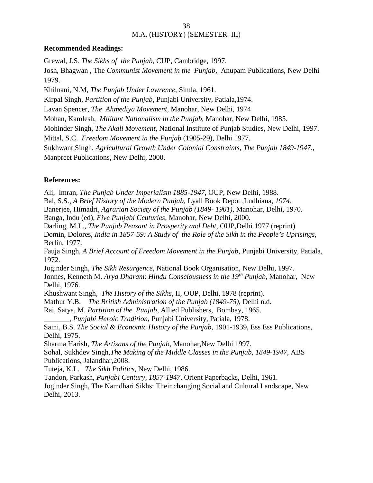### **Recommended Readings:**

Grewal, J.S. *The Sikhs of the Punjab*, CUP, Cambridge, 1997. Josh, Bhagwan , The *Communist Movement in the Punjab*, Anupam Publications, New Delhi 1979. Khilnani, N.M, *The Punjab Under Lawrence,* Simla, 1961. Kirpal Singh, *Partition of the Punjab*, Punjabi University, Patiala,1974. Lavan Spencer, *The Ahmediya Movement,* Manohar, New Delhi, 1974 Mohan, Kamlesh, *Militant Nationalism in the Punjab*, Manohar, New Delhi, 1985. Mohinder Singh, *The Akali Movement,* National Institute of Punjab Studies, New Delhi, 1997. Mittal, S.C. *Freedom Movement in the Punjab* (1905-29), Delhi 1977. Sukhwant Singh, *Agricultural Growth Under Colonial Constraints, The Punjab 1849-1947*., Manpreet Publications, New Delhi, 2000.

### **References:**

Ali, Imran, *The Punjab Under Imperialism 1885-1947*, OUP, New Delhi, 1988. Bal, S.S., *A Brief History of the Modern Punjab,* Lyall Book Depot *,*Ludhiana*, 1974.* Banerjee, Himadri*, Agrarian Society of the Punjab (1849- 1901),* Manohar, Delhi, 1970. Banga, Indu (ed), *Five Punjabi Centuries*, Manohar, New Delhi, 2000. Darling, M.L., *The Punjab Peasant in Prosperity and Debt*, OUP,Delhi 1977 (reprint) Domin, Dolores, *India in 1857-59: A Study of the Role of the Sikh in the People's Uprisings,* Berlin, 1977. Fauja Singh, *A Brief Account of Freedom Movement in the Punjab*, Punjabi University, Patiala, 1972. Joginder Singh, *The Sikh Resurgence*, National Book Organisation, New Delhi, 1997. Jonnes, Kenneth M. *Arya Dharam*: *Hindu Consciousness in the 19th Punjab*, Manohar, New Delhi, 1976. Khushwant Singh, *The History of the Sikhs*, II, OUP, Delhi, 1978 (reprint). Mathur Y.B. *The British Administration of the Punjab (1849-75)*, Delhi n.d. Rai, Satya, M. *Partition of the Punjab*, Allied Publishers, Bombay, 1965. \_\_\_\_\_\_\_, *Punjabi Heroic Tradition,* Punjabi University, Patiala, 1978. Saini, B.S. *The Social & Economic History of the Punjab*, 1901-1939, Ess Ess Publications, Delhi, 1975. Sharma Harish, *The Artisans of the Punjab,* Manohar,New Delhi 1997. Sohal, Sukhdev Singh,*The Making of the Middle Classes in the Punjab, 1849-1947*, ABS Publications, Jalandhar,2008. Tuteja, K.L. *The Sikh Politics,* New Delhi, 1986. Tandon, Parkash, *Punjabi Century*, *1857-1947*, Orient Paperbacks, Delhi, 1961. Joginder Singh, The Namdhari Sikhs: Their changing Social and Cultural Landscape, New Delhi, 2013.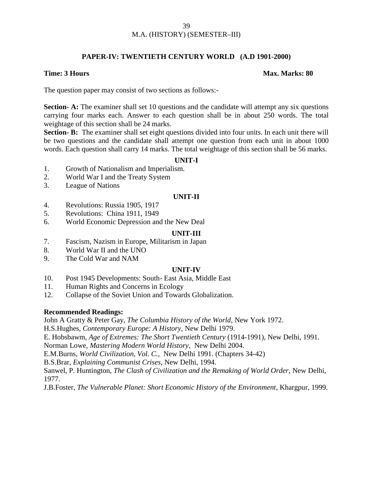### M.A. (HISTORY) (SEMESTER–III)

### **PAPER-IV: TWENTIETH CENTURY WORLD (A.D 1901-2000)**

### **Time: 3 Hours Max. Marks: 80**

The question paper may consist of two sections as follows:-

**Section- A:** The examiner shall set 10 questions and the candidate will attempt any six questions carrying four marks each. Answer to each question shall be in about 250 words. The total weightage of this section shall be 24 marks.

**Section- B:** The examiner shall set eight questions divided into four units. In each unit there will be two questions and the candidate shall attempt one question from each unit in about 1000 words. Each question shall carry 14 marks. The total weightage of this section shall be 56 marks.

### **UNIT-I**

- 1. Growth of Nationalism and Imperialism.
- 2. World War I and the Treaty System
- 3. League of Nations

### **UNIT-II**

- 4. Revolutions: Russia 1905, 1917
- 5. Revolutions: China 1911, 1949
- 6. World Economic Depression and the New Deal

### **UNIT-III**

- 7. Fascism, Nazism in Europe, Militarism in Japan
- 8. World War II and the UNO
- 9. The Cold War and NAM

### **UNIT-IV**

- 10. Post 1945 Developments: South- East Asia, Middle East
- 11. Human Rights and Concerns in Ecology
- 12. Collapse of the Soviet Union and Towards Globalization.

### **Recommended Readings:**

John A Gratty & Peter Gay, *The Columbia History of the World*, New York 1972.

H.S.Hughes, *Contemporary Europe: A History*, New Delhi 1979.

E. Hobsbawm, *Age of Extremes: The Short Twentieth Century* (1914-1991), New Delhi, 1991.

Norman Lowe, *Mastering Modern World History*, New Delhi 2004.

E.M.Burns, *World Civilization, Vol. C.,* New Delhi 1991. (Chapters 34-42)

B.S.Brar, *Explaining Communist Crises*, New Delhi, 1994.

Sanwel, P. Huntington, *The Clash of Civilization and the Remaking of World Order,* New Delhi, 1977.

J.B.Foster, *The Vulnerable Planet: Short Economic History of the Environment*, Khargpur, 1999.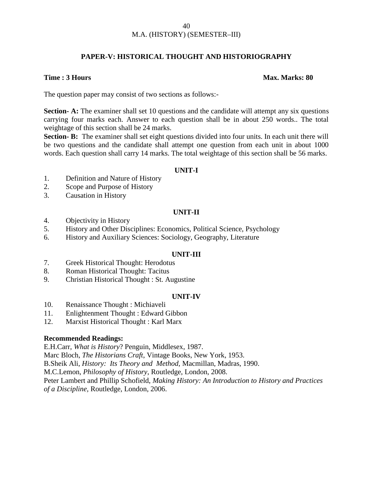### **PAPER-V: HISTORICAL THOUGHT AND HISTORIOGRAPHY**

### **Time : 3 Hours Max. Marks: 80**

The question paper may consist of two sections as follows:-

**Section- A:** The examiner shall set 10 questions and the candidate will attempt any six questions carrying four marks each. Answer to each question shall be in about 250 words.. The total weightage of this section shall be 24 marks.

**Section- B:** The examiner shall set eight questions divided into four units. In each unit there will be two questions and the candidate shall attempt one question from each unit in about 1000 words. Each question shall carry 14 marks. The total weightage of this section shall be 56 marks.

### **UNIT-I**

- 1. Definition and Nature of History
- 2. Scope and Purpose of History
- 3. Causation in History

### **UNIT-II**

- 4. Objectivity in History
- 5. History and Other Disciplines: Economics, Political Science, Psychology
- 6. History and Auxiliary Sciences: Sociology, Geography, Literature

### **UNIT-III**

- 7. Greek Historical Thought: Herodotus
- 8. Roman Historical Thought: Tacitus
- 9. Christian Historical Thought : St. Augustine

### **UNIT-IV**

- 10. Renaissance Thought : Michiaveli
- 11. Enlightenment Thought : Edward Gibbon
- 12. Marxist Historical Thought : Karl Marx

### **Recommended Readings:**

E.H.Carr, *What is History*? Penguin, Middlesex, 1987.

Marc Bloch, *The Historians Craft*, Vintage Books, New York, 1953.

B.Sheik Ali, *History: Its Theory and Method,* Macmillan, Madras, 1990.

M.C.Lemon, *Philosophy of History*, Routledge, London, 2008.

Peter Lambert and Phillip Schofield, *Making History: An Introduction to History and Practices of a Discipline,* Routledge, London, 2006.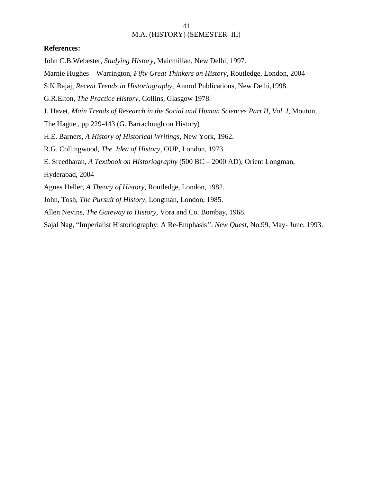### **References:**

John C.B.Webester, *Studying History*, Maicmillan, New Delhi, 1997.

Marnie Hughes – Warrington, *Fifty Great Thinkers on History*, Routledge, London, 2004

S.K.Bajaj, *Recent Trends in Historiography,* Anmol Publications, New Delhi,1998.

G.R.Elton, *The Practice History*, Collins, Glasgow 1978.

J. Havet, *Main Trends of Research in the Social and Human Sciences Part II, Vol. I*, Mouton,

The Hague , pp 229-443 (G. Barraclough on History)

H.E. Barners, *A History of Historical Writings*, New York, 1962.

R.G. Collingwood, *The Idea of History*, OUP, London, 1973.

E. Sreedharan, *A Textbook on Historiography* (500 BC – 2000 AD), Orient Longman,

Hyderabad, 2004

Agnes Heller, *A Theory of History,* Routledge, London, 1982.

John, Tosh, *The Pursuit of History,* Longman, London, 1985.

Allen Nevins, *The Gateway to History,* Vora and Co. Bombay, 1968.

Sajal Nag, "Imperialist Historiography: A Re-Emphasis*"*, *New Quest*, No.99, May- June, 1993.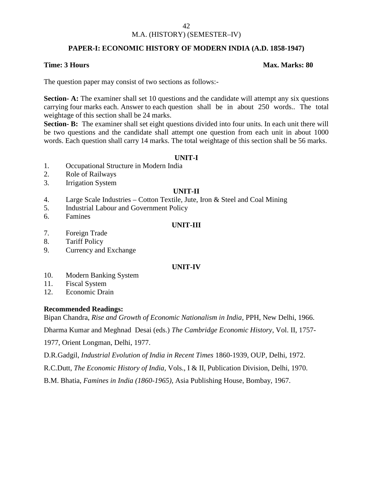### M.A. (HISTORY) (SEMESTER–IV)

### **PAPER-I: ECONOMIC HISTORY OF MODERN INDIA (A.D. 1858-1947)**

### **Time: 3 Hours Max. Marks: 80**

The question paper may consist of two sections as follows:-

**Section- A:** The examiner shall set 10 questions and the candidate will attempt any six questions carrying four marks each. Answer to each question shall be in about 250 words.. The total weightage of this section shall be 24 marks.

**Section- B:** The examiner shall set eight questions divided into four units. In each unit there will be two questions and the candidate shall attempt one question from each unit in about 1000 words. Each question shall carry 14 marks. The total weightage of this section shall be 56 marks.

### **UNIT-I**

- 1. Occupational Structure in Modern India
- 2. Role of Railways
- 3. Irrigation System

### **UNIT-II**

- 4. Large Scale Industries Cotton Textile, Jute, Iron & Steel and Coal Mining
- 5. Industrial Labour and Government Policy
- 6. Famines

### **UNIT-III**

- 7. Foreign Trade
- 8. Tariff Policy
- 9. Currency and Exchange

### **UNIT-IV**

- 10. Modern Banking System
- 11. Fiscal System
- 12. Economic Drain

### **Recommended Readings:**

Bipan Chandra, *Rise and Growth of Economic Nationalism in India*, PPH, New Delhi, 1966.

Dharma Kumar and Meghnad Desai (eds.) *The Cambridge Economic History*, Vol. II, 1757-

1977, Orient Longman, Delhi, 1977.

D.R.Gadgil, *Industrial Evolution of India in Recent Times* 1860-1939, OUP, Delhi, 1972.

R.C.Dutt, *The Economic History of India,* Vols., I & II, Publication Division, Delhi, 1970.

B.M. Bhatia, *Famines in India (1860-1965),* Asia Publishing House, Bombay, 1967.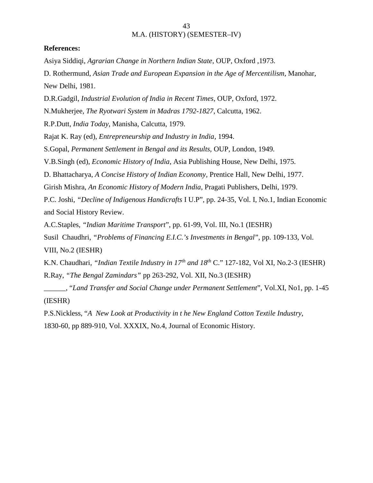### **References:**

Asiya Siddiqi, *Agrarian Change in Northern Indian State*, OUP, Oxford ,1973.

D. Rothermund, *Asian Trade and European Expansion in the Age of Mercentilism,* Manohar, New Delhi, 1981.

D.R.Gadgil, *Industrial Evolution of India in Recent Times,* OUP*,* Oxford, 1972.

N.Mukherjee, *The Ryotwari System in Madras 1792-1827*, Calcutta, 1962.

R.P.Dutt, *India Today*, Manisha, Calcutta, 1979.

Rajat K. Ray (ed), *Entrepreneurship and Industry in India*, 1994.

S.Gopal, *Permanent Settlement in Bengal and its Results,* OUP, London, 1949*.*

V.B.Singh (ed), *Economic History of India*, Asia Publishing House, New Delhi, 1975.

D. Bhattacharya, *A Concise History of Indian Economy,* Prentice Hall*,* New Delhi, 1977.

Girish Mishra, *An Economic History of Modern India*, Pragati Publishers, Delhi, 1979.

P.C. Joshi, *"Decline of Indigenous Handicrafts* I U.P", pp. 24-35, Vol. I, No.1, Indian Economic and Social History Review.

A.C.Staples, *"Indian Maritime Transport*", pp. 61-99, Vol. III, No.1 (IESHR)

Susil Chaudhri, *"Problems of Financing E.I.C.'s Investments in Bengal*", pp. 109-133, Vol.

VIII, No.2 (IESHR)

K.N. Chaudhari, *"Indian Textile Industry in 17th and 18th* C." 127-182, Vol XI, No.2-3 (IESHR) R.Ray, *"The Bengal Zamindars"* pp 263-292, Vol. XII, No.3 (IESHR)

\_\_\_\_\_\_, "*Land Transfer and Social Change under Permanent Settlement*", Vol.XI, No1, pp. 1-45 (IESHR)

P.S.Nickless, "*A New Look at Productivity in t he New England Cotton Textile Industry,* 1830-60, pp 889-910, Vol. XXXIX, No.4, Journal of Economic History.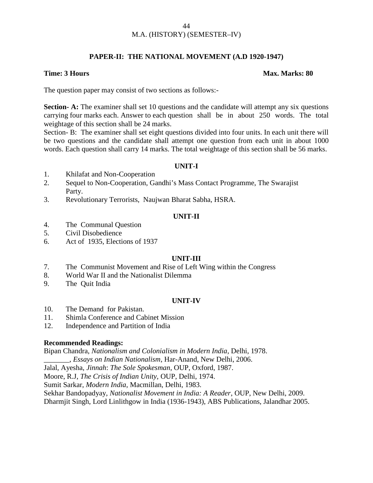### **PAPER-II: THE NATIONAL MOVEMENT (A.D 1920-1947)**

### **Time: 3 Hours Max. Marks: 80**

The question paper may consist of two sections as follows:-

**Section- A:** The examiner shall set 10 questions and the candidate will attempt any six questions carrying four marks each. Answer to each question shall be in about 250 words. The total weightage of this section shall be 24 marks.

Section- B: The examiner shall set eight questions divided into four units. In each unit there will be two questions and the candidate shall attempt one question from each unit in about 1000 words. Each question shall carry 14 marks. The total weightage of this section shall be 56 marks.

### **UNIT-I**

- 1. Khilafat and Non-Cooperation
- 2. Sequel to Non-Cooperation, Gandhi's Mass Contact Programme, The Swarajist Party.
- 3. Revolutionary Terrorists, Naujwan Bharat Sabha, HSRA.

### **UNIT-II**

- 4. The Communal Question
- 5. Civil Disobedience
- 6. Act of 1935, Elections of 1937

### **UNIT-III**

- 7. The Communist Movement and Rise of Left Wing within the Congress
- 8. World War II and the Nationalist Dilemma
- 9. The Quit India

### **UNIT-IV**

- 10. The Demand for Pakistan.
- 11. Shimla Conference and Cabinet Mission
- 12. Independence and Partition of India

### **Recommended Readings:**

Bipan Chandra, *Nationalism and Colonialism in Modern India*, Delhi, 1978.

\_\_\_\_\_\_\_, *Essays on Indian Nationalism*, Har-Anand, New Delhi, 2006.

Jalal, Ayesha, *Jinnah*: *The Sole Spokesman*, OUP, Oxford, 1987.

Moore, R.J, *The Crisis of Indian Unity,* OUP, Delhi, 1974.

Sumit Sarkar, *Modern India*, Macmillan, Delhi, 1983.

Sekhar Bandopadyay, *Nationalist Movement in India: A Reader*, OUP, New Delhi, 2009. Dharmjit Singh, Lord Linlithgow in India (1936-1943), ABS Publications, Jalandhar 2005.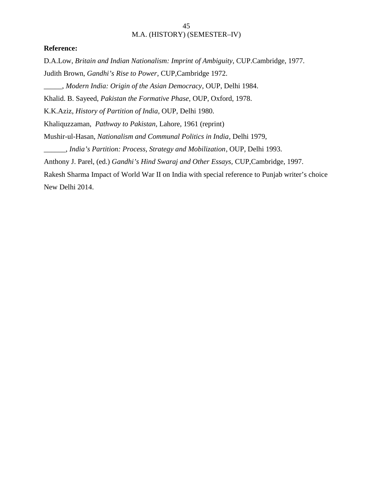### **Reference:**

D.A.Low, *Britain and Indian Nationalism: Imprint of Ambiguity*, CUP.Cambridge, 1977. Judith Brown, *Gandhi's Rise to Power*, CUP,Cambridge 1972.

\_\_\_\_\_, *Modern India: Origin of the Asian Democracy*, OUP, Delhi 1984.

Khalid. B. Sayeed, *Pakistan the Formative Phase*, OUP, Oxford, 1978.

K.K.Aziz, *History of Partition of India*, OUP, Delhi 1980.

Khaliquzzaman, *Pathway to Pakistan*, Lahore, 1961 (reprint)

Mushir-ul-Hasan, *Nationalism and Communal Politics in India*, Delhi 1979,

\_\_\_\_\_\_, *India's Partition: Process, Strategy and Mobilization*, OUP, Delhi 1993.

Anthony J. Parel, (ed.) *Gandhi's Hind Swaraj and Other Essays,* CUP,Cambridge, 1997.

Rakesh Sharma Impact of World War II on India with special reference to Punjab writer's choice New Delhi 2014.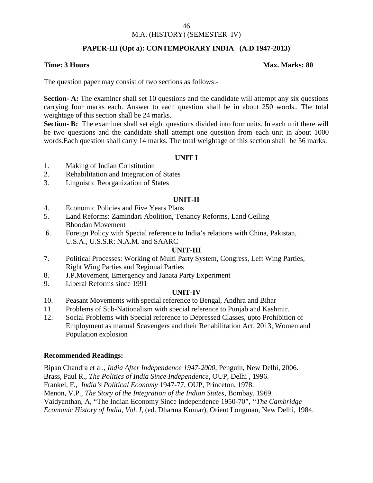### M.A. (HISTORY) (SEMESTER–IV)

### **PAPER-III (Opt a): CONTEMPORARY INDIA (A.D 1947-2013)**

### **Time: 3 Hours Max. Marks: 80**

The question paper may consist of two sections as follows:-

**Section- A:** The examiner shall set 10 questions and the candidate will attempt any six questions carrying four marks each. Answer to each question shall be in about 250 words.. The total weightage of this section shall be 24 marks.

**Section- B:** The examiner shall set eight questions divided into four units. In each unit there will be two questions and the candidate shall attempt one question from each unit in about 1000 words.Each question shall carry 14 marks. The total weightage of this section shall be 56 marks.

### **UNIT I**

- 1. Making of Indian Constitution
- 2. Rehabilitation and Integration of States
- 3. Linguistic Reorganization of States

### **UNIT-II**

- 4. Economic Policies and Five Years Plans
- 5. Land Reforms: Zamindari Abolition, Tenancy Reforms, Land Ceiling Bhoodan Movement
- 6. Foreign Policy with Special reference to India's relations with China, Pakistan, U.S.A., U.S.S.R: N.A.M. and SAARC

### **UNIT-III**

- 7. Political Processes: Working of Multi Party System, Congress, Left Wing Parties, Right Wing Parties and Regional Parties
- 8. J.P.Movement, Emergency and Janata Party Experiment
- 9. Liberal Reforms since 1991

### **UNIT-IV**

- 10. Peasant Movements with special reference to Bengal, Andhra and Bihar
- 11. Problems of Sub-Nationalism with special reference to Punjab and Kashmir.
- 12. Social Problems with Special reference to Depressed Classes, upto Prohibition of Employment as manual Scavengers and their Rehabilitation Act, 2013, Women and Population explosion

### **Recommended Readings:**

Bipan Chandra et al., *India After Independence 1947-2000,* Penguin, New Delhi, 2006. Brass, Paul R., *The Politics of India Since Independence,* OUP, Delhi , 1996. Frankel, F., *India's Political Economy* 1947-77, OUP, Princeton, 1978. Menon, V.P., *The Story of the Integration of the Indian States*, Bombay, 1969. Vaidyanthan, A, "The Indian Economy Since Independence 1950-70", *"The Cambridge Economic History of India, Vol. I,* (ed. Dharma Kumar), Orient Longman, New Delhi, 1984.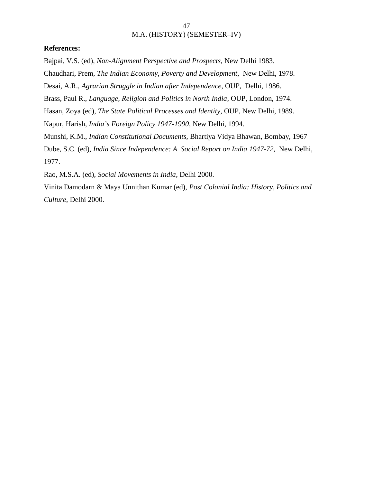### **References:**

Bajpai, V.S. (ed), *Non-Alignment Perspective and Prospects,* New Delhi 1983.

Chaudhari, Prem, *The Indian Economy, Poverty and Development*, New Delhi, 1978.

Desai, A.R., *Agrarian Struggle in Indian after Independence*, OUP, Delhi, 1986.

Brass, Paul R., *Language, Religion and Politics in North India*, OUP, London, 1974.

Hasan, Zoya (ed), *The State Political Processes and Identity*, OUP, New Delhi, 1989.

Kapur, Harish, *India's Foreign Policy 1947-1990,* New Delhi, 1994.

Munshi, K.M., *Indian Constitutional Documents,* Bhartiya Vidya Bhawan, Bombay, 1967

Dube, S.C. (ed), *India Since Independence: A Social Report on India 1947-72,* New Delhi, 1977.

Rao, M.S.A. (ed)*, Social Movements in India*, Delhi 2000.

Vinita Damodarn & Maya Unnithan Kumar (ed), *Post Colonial India: History, Politics and Culture,* Delhi 2000.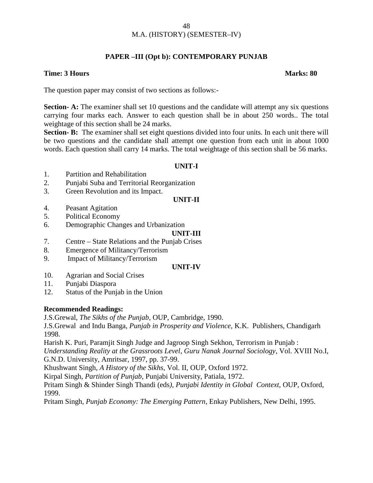### **PAPER –III (Opt b): CONTEMPORARY PUNJAB**

### **Time: 3 Hours Marks: 80**

The question paper may consist of two sections as follows:-

**Section- A:** The examiner shall set 10 questions and the candidate will attempt any six questions carrying four marks each. Answer to each question shall be in about 250 words.. The total weightage of this section shall be 24 marks.

**Section- B:** The examiner shall set eight questions divided into four units. In each unit there will be two questions and the candidate shall attempt one question from each unit in about 1000 words. Each question shall carry 14 marks. The total weightage of this section shall be 56 marks.

### **UNIT-I**

- 1. Partition and Rehabilitation
- 2. Punjabi Suba and Territorial Reorganization
- 3. Green Revolution and its Impact.

### **UNIT-II**

- 4. Peasant Agitation
- 5. Political Economy
- 6. Demographic Changes and Urbanization

### **UNIT-III**

- 7. Centre State Relations and the Punjab Crises
- 8. Emergence of Militancy/Terrorism
- 9. Impact of Militancy/Terrorism

### **UNIT-IV**

- 10. Agrarian and Social Crises
- 11. Punjabi Diaspora
- 12. Status of the Punjab in the Union

### **Recommended Readings:**

J.S.Grewal, *The Sikhs of the Punjab*, OUP, Cambridge, 1990.

J.S.Grewal and Indu Banga, *Punjab in Prosperity and Violence,* K.K. Publishers, Chandigarh 1998.

Harish K. Puri, Paramjit Singh Judge and Jagroop Singh Sekhon, Terrorism in Punjab :

*Understanding Reality at the Grassroots Level*, *Guru Nanak Journal Sociology*, Vol. XVIII No.I, G.N.D. University, Amritsar, 1997, pp. 37-99.

Khushwant Singh, *A History of the Sikhs*, Vol. II, OUP, Oxford 1972.

Kirpal Singh*, Partition of Punjab,* Punjabi University, Patiala, 1972.

Pritam Singh & Shinder Singh Thandi (eds*), Punjabi Identity in Global Context*, OUP, Oxford, 1999.

Pritam Singh, *Punjab Economy: The Emerging Pattern*, Enkay Publishers, New Delhi, 1995.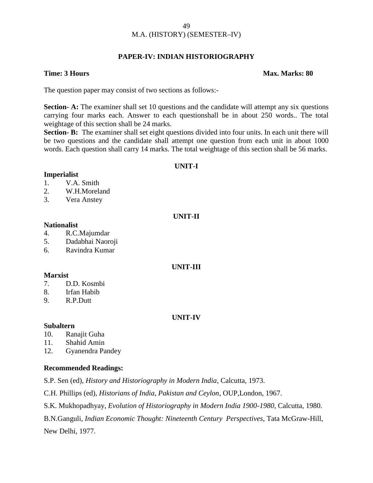### **PAPER-IV: INDIAN HISTORIOGRAPHY**

### **Time: 3 Hours Max. Marks: 80**

The question paper may consist of two sections as follows:-

**Section- A:** The examiner shall set 10 questions and the candidate will attempt any six questions carrying four marks each. Answer to each questionshall be in about 250 words.. The total weightage of this section shall be 24 marks.

**Section- B:** The examiner shall set eight questions divided into four units. In each unit there will be two questions and the candidate shall attempt one question from each unit in about 1000 words. Each question shall carry 14 marks. The total weightage of this section shall be 56 marks.

### **UNIT-I**

### **Imperialist**

- 1. V.A. Smith
- 2. W.H.Moreland
- 3. Vera Anstey

### **UNIT-II**

### **Nationalist**

- 4. R.C.Majumdar
- 5. Dadabhai Naoroji
- 6. Ravindra Kumar

### **UNIT-III**

### **Marxist**

- 7. D.D. Kosmbi
- 8. Irfan Habib
- 9. R.P.Dutt

### **UNIT-IV**

### **Subaltern**

- 10. Ranajit Guha
- 11. Shahid Amin
- 12. Gyanendra Pandey

### **Recommended Readings:**

S.P. Sen (ed), *History and Historiography in Modern India*, Calcutta, 1973.

C.H. Phillips (ed), *Historians of India, Pakistan and Ceylon*, OUP,London, 1967.

S.K. Mukhopadhyay, *Evolution of Historiography in Modern India 1900-1980*, Calcutta, 1980.

B.N.Ganguli, *Indian Economic Thought: Nineteenth Century Perspectives*, Tata McGraw-Hill,

New Delhi, 1977.

### 49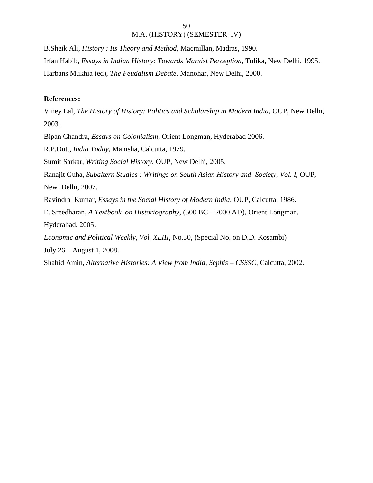B.Sheik Ali, *History : Its Theory and Method,* Macmillan, Madras, 1990. Irfan Habib, *Essays in Indian History: Towards Marxist Perception*, Tulika, New Delhi, 1995. Harbans Mukhia (ed), *The Feudalism Debate*, Manohar, New Delhi, 2000.

### **References:**

Viney Lal, *The History of History: Politics and Scholarship in Modern India*, OUP, New Delhi, 2003.

Bipan Chandra, *Essays on Colonialism*, Orient Longman, Hyderabad 2006.

R.P.Dutt, *India Today*, Manisha, Calcutta, 1979.

Sumit Sarkar, *Writing Social History*, OUP, New Delhi, 2005.

Ranajit Guha, *Subaltern Studies : Writings on South Asian History and Society, Vol. I*, OUP, New Delhi, 2007.

Ravindra Kumar, *Essays in the Social History of Modern India*, OUP, Calcutta, 1986.

E. Sreedharan, *A Textbook on Historiography*, (500 BC – 2000 AD), Orient Longman, Hyderabad, 2005.

*Economic and Political Weekly, Vol. XLIII*, No.30, (Special No. on D.D. Kosambi)

July 26 – August 1, 2008.

Shahid Amin, *Alternative Histories: A View from India, Sephis – CSSSC,* Calcutta, 2002.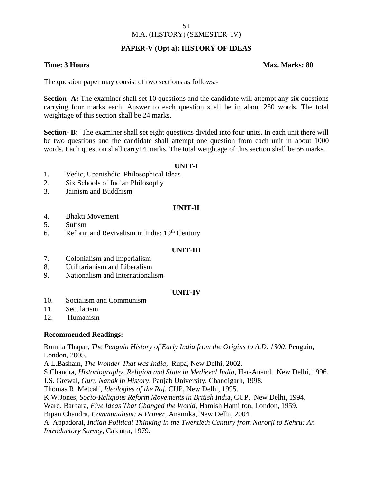### M.A. (HISTORY) (SEMESTER–IV)

### **PAPER-V (Opt a): HISTORY OF IDEAS**

### **Time: 3 Hours Max. Marks: 80**

The question paper may consist of two sections as follows:-

**Section- A:** The examiner shall set 10 questions and the candidate will attempt any six questions carrying four marks each. Answer to each question shall be in about 250 words. The total weightage of this section shall be 24 marks.

**Section- B:** The examiner shall set eight questions divided into four units. In each unit there will be two questions and the candidate shall attempt one question from each unit in about 1000 words. Each question shall carry14 marks. The total weightage of this section shall be 56 marks.

### **UNIT-I**

- 1. Vedic, Upanishdic Philosophical Ideas
- 2. Six Schools of Indian Philosophy
- 3. Jainism and Buddhism

### **UNIT-II**

- 4. Bhakti Movement
- 5. Sufism
- 6. Reform and Revivalism in India:  $19<sup>th</sup>$  Century

### **UNIT-III**

- 7. Colonialism and Imperialism
- 8. Utilitarianism and Liberalism
- 9. Nationalism and Internationalism

### **UNIT-IV**

- 10. Socialism and Communism
- 11. Secularism
- 12. Humanism

### **Recommended Readings:**

Romila Thapar*, The Penguin History of Early India from the Origins to A.D. 1300,* Penguin, London, 2005.

A.L.Basham, *The Wonder That was India*, Rupa, New Delhi, 2002.

S.Chandra, *Historiography, Religion and State in Medieval India*, Har-Anand, New Delhi, 1996.

J.S. Grewal, *Guru Nanak in History*, Panjab University, Chandigarh, 1998.

Thomas R. Metcalf, *Ideologies of the Raj*, CUP, New Delhi, 1995.

K.W.Jones, *Socio-Religious Reform Movements in British Ind*ia, CUP, New Delhi, 1994.

Ward, Barbara, *Five Ideas That Changed the World*, Hamish Hamilton, London, 1959.

Bipan Chandra, *Communalism: A Primer*, Anamika, New Delhi, 2004.

A. Appadorai, *Indian Political Thinking in the Twentieth Century from Narorji to Nehru: An Introductory Survey*, Calcutta, 1979.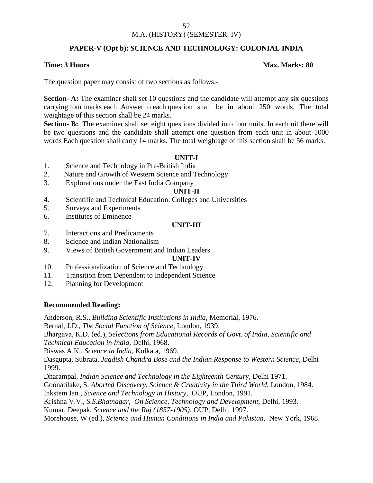### M.A. (HISTORY) (SEMESTER–IV)

### **PAPER-V (Opt b): SCIENCE AND TECHNOLOGY: COLONIAL INDIA**

### **Time: 3 Hours Max. Marks: 80**

The question paper may consist of two sections as follows:-

**Section- A:** The examiner shall set 10 questions and the candidate will attempt any six questions carrying four marks each. Answer to each question shall be in about 250 words. The total weightage of this section shall be 24 marks.

**Section- B:** The examiner shall set eight questions divided into four units. In each nit there will be two questions and the candidate shall attempt one question from each unit in about 1000 words Each question shall carry 14 marks. The total weightage of this section shall be 56 marks.

### **UNIT-I**

- 1. Science and Technology in Pre-British India
- 2. Nature and Growth of Western Science and Technology
- 3. Explorations under the East India Company

### **UNIT-II**

- 4. Scientific and Technical Education: Colleges and Universities
- 5. Surveys and Experiments
- 6. Institutes of Eminence

### **UNIT-III**

- 7. Interactions and Predicaments
- 8. Science and Indian Nationalism
- 9. Views of British Government and Indian Leaders

**UNIT-IV**

- 10. Professionalization of Science and Technology
- 11. Transition from Dependent to Independent Science
- 12. Planning for Development

### **Recommended Reading:**

Anderson, R.S., *Building Scientific Institutions in India*, Memorial, 1976.

Bernal, J.D., *The Social Function of Science*, London, 1939.

Bhargava, K.D. (ed.), *Selections from Educational Records of Govt. of India, Scientific and Technical Education in India,* Delhi, 1968.

Biswas A.K., *Science in India,* Kolkata, 1969.

Dasgupta, Subrata, *Jagdish Chandra Bose and the Indian Response to Western Science,* Delhi 1999.

Dharampal, *Indian Science and Technology in the Eighteenth Century*, Delhi 1971.

Goonatilake, S. *Aborted Discovery, Science & Creativity in the Third World,* London, 1984.

Inkstem Ian*., Science and Technology in History*, OUP, London, 1991.

Krishna V.V., *S.S.Bhatnagar, On Science, Technology and Development,* Delhi, 1993.

Kumar, Deepak, *Science and the Raj (1857-1905),* OUP, Delhi, 1997.

Morehouse, W (ed.), *Science and Human Conditions in India and Pakistan,* New York, 1968.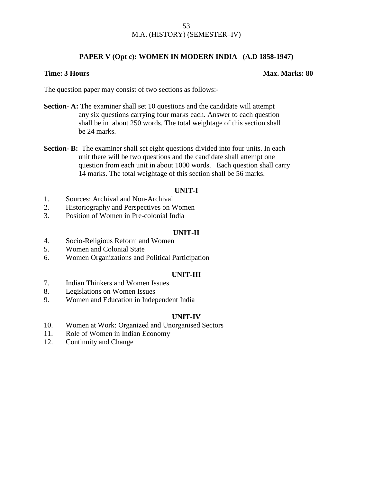### **PAPER V (Opt c): WOMEN IN MODERN INDIA (A.D 1858-1947)**

### **Time: 3 Hours Max. Marks: 80**

The question paper may consist of two sections as follows:-

- **Section- A:** The examiner shall set 10 questions and the candidate will attempt any six questions carrying four marks each. Answer to each question shall be in about 250 words. The total weightage of this section shall be 24 marks.
- **Section- B:** The examiner shall set eight questions divided into four units. In each unit there will be two questions and the candidate shall attempt one question from each unit in about 1000 words. Each question shall carry 14 marks. The total weightage of this section shall be 56 marks.

### **UNIT-I**

- 1. Sources: Archival and Non-Archival
- 2. Historiography and Perspectives on Women
- 3. Position of Women in Pre-colonial India

### **UNIT-II**

- 4. Socio-Religious Reform and Women
- 5. Women and Colonial State
- 6. Women Organizations and Political Participation

### **UNIT-III**

- 7. Indian Thinkers and Women Issues
- 8. Legislations on Women Issues
- 9. Women and Education in Independent India

### **UNIT-IV**

- 10. Women at Work: Organized and Unorganised Sectors
- 11. Role of Women in Indian Economy
- 12. Continuity and Change